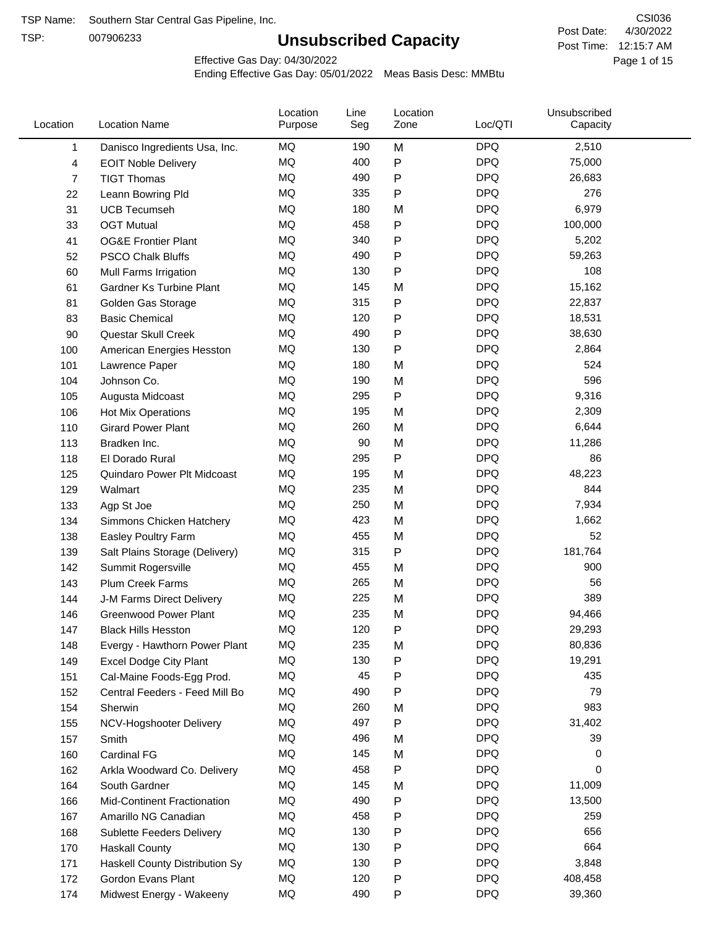TSP:

# **Unsubscribed Capacity**

4/30/2022 Page 1 of 15 Post Time: 12:15:7 AM CSI036 Post Date:

Effective Gas Day: 04/30/2022

| Location | <b>Location Name</b>               | Location<br>Purpose | Line<br>Seg | Location<br>Zone | Loc/QTI    | Unsubscribed<br>Capacity |  |
|----------|------------------------------------|---------------------|-------------|------------------|------------|--------------------------|--|
| 1        | Danisco Ingredients Usa, Inc.      | MQ                  | 190         | M                | <b>DPQ</b> | 2,510                    |  |
| 4        | <b>EOIT Noble Delivery</b>         | MQ                  | 400         | P                | <b>DPQ</b> | 75,000                   |  |
| 7        | <b>TIGT Thomas</b>                 | <b>MQ</b>           | 490         | P                | <b>DPQ</b> | 26,683                   |  |
| 22       | Leann Bowring Pld                  | <b>MQ</b>           | 335         | $\mathsf{P}$     | <b>DPQ</b> | 276                      |  |
| 31       | <b>UCB Tecumseh</b>                | <b>MQ</b>           | 180         | M                | <b>DPQ</b> | 6,979                    |  |
| 33       | <b>OGT Mutual</b>                  | <b>MQ</b>           | 458         | P                | <b>DPQ</b> | 100,000                  |  |
| 41       | <b>OG&amp;E Frontier Plant</b>     | MQ                  | 340         | P                | <b>DPQ</b> | 5,202                    |  |
| 52       | <b>PSCO Chalk Bluffs</b>           | MQ                  | 490         | P                | <b>DPQ</b> | 59,263                   |  |
| 60       | Mull Farms Irrigation              | <b>MQ</b>           | 130         | P                | <b>DPQ</b> | 108                      |  |
| 61       | Gardner Ks Turbine Plant           | MQ                  | 145         | M                | <b>DPQ</b> | 15,162                   |  |
| 81       | Golden Gas Storage                 | MQ                  | 315         | P                | <b>DPQ</b> | 22,837                   |  |
| 83       | <b>Basic Chemical</b>              | <b>MQ</b>           | 120         | P                | <b>DPQ</b> | 18,531                   |  |
| 90       | Questar Skull Creek                | MQ                  | 490         | P                | <b>DPQ</b> | 38,630                   |  |
| 100      | American Energies Hesston          | MQ                  | 130         | P                | <b>DPQ</b> | 2,864                    |  |
| 101      | Lawrence Paper                     | <b>MQ</b>           | 180         | M                | <b>DPQ</b> | 524                      |  |
| 104      | Johnson Co.                        | MQ                  | 190         | M                | <b>DPQ</b> | 596                      |  |
| 105      | Augusta Midcoast                   | MQ                  | 295         | P                | <b>DPQ</b> | 9,316                    |  |
| 106      | Hot Mix Operations                 | <b>MQ</b>           | 195         | M                | <b>DPQ</b> | 2,309                    |  |
| 110      | <b>Girard Power Plant</b>          | <b>MQ</b>           | 260         | M                | <b>DPQ</b> | 6,644                    |  |
| 113      | Bradken Inc.                       | <b>MQ</b>           | 90          | M                | <b>DPQ</b> | 11,286                   |  |
| 118      | El Dorado Rural                    | <b>MQ</b>           | 295         | P                | <b>DPQ</b> | 86                       |  |
| 125      | Quindaro Power Plt Midcoast        | MQ                  | 195         | M                | <b>DPQ</b> | 48,223                   |  |
| 129      | Walmart                            | <b>MQ</b>           | 235         | M                | <b>DPQ</b> | 844                      |  |
| 133      | Agp St Joe                         | <b>MQ</b>           | 250         | M                | <b>DPQ</b> | 7,934                    |  |
| 134      | Simmons Chicken Hatchery           | MQ                  | 423         | M                | <b>DPQ</b> | 1,662                    |  |
| 138      | Easley Poultry Farm                | <b>MQ</b>           | 455         | M                | <b>DPQ</b> | 52                       |  |
| 139      | Salt Plains Storage (Delivery)     | <b>MQ</b>           | 315         | P                | <b>DPQ</b> | 181,764                  |  |
| 142      | Summit Rogersville                 | MQ                  | 455         | M                | <b>DPQ</b> | 900                      |  |
| 143      | <b>Plum Creek Farms</b>            | MQ                  | 265         | M                | <b>DPQ</b> | 56                       |  |
| 144      | J-M Farms Direct Delivery          | MQ                  | 225         | M                | <b>DPQ</b> | 389                      |  |
| 146      | <b>Greenwood Power Plant</b>       | <b>MQ</b>           | 235         | M                | <b>DPQ</b> | 94,466                   |  |
| 147      | <b>Black Hills Hesston</b>         | <b>MQ</b>           | 120         | P                | <b>DPQ</b> | 29,293                   |  |
| 148      | Evergy - Hawthorn Power Plant      | ΜQ                  | 235         | M                | <b>DPQ</b> | 80,836                   |  |
| 149      | <b>Excel Dodge City Plant</b>      | MQ                  | 130         | Ρ                | <b>DPQ</b> | 19,291                   |  |
| 151      | Cal-Maine Foods-Egg Prod.          | MQ                  | 45          | P                | <b>DPQ</b> | 435                      |  |
| 152      | Central Feeders - Feed Mill Bo     | MQ                  | 490         | Ρ                | <b>DPQ</b> | 79                       |  |
| 154      | Sherwin                            | MQ                  | 260         | M                | <b>DPQ</b> | 983                      |  |
| 155      | NCV-Hogshooter Delivery            | MQ                  | 497         | Ρ                | <b>DPQ</b> | 31,402                   |  |
| 157      | Smith                              | MQ                  | 496         | M                | <b>DPQ</b> | 39                       |  |
| 160      | Cardinal FG                        | MQ                  | 145         | M                | <b>DPQ</b> | 0                        |  |
| 162      | Arkla Woodward Co. Delivery        | MQ                  | 458         | $\mathsf{P}$     | <b>DPQ</b> | 0                        |  |
| 164      | South Gardner                      | MQ                  | 145         | M                | <b>DPQ</b> | 11,009                   |  |
| 166      | <b>Mid-Continent Fractionation</b> | MQ                  | 490         | P                | <b>DPQ</b> | 13,500                   |  |
| 167      | Amarillo NG Canadian               | MQ                  | 458         | P                | <b>DPQ</b> | 259                      |  |
| 168      | Sublette Feeders Delivery          | MQ                  | 130         | Ρ                | <b>DPQ</b> | 656                      |  |
| 170      | <b>Haskall County</b>              | MQ                  | 130         | P                | <b>DPQ</b> | 664                      |  |
| 171      | Haskell County Distribution Sy     | MQ                  | 130         | P                | <b>DPQ</b> | 3,848                    |  |
| 172      | Gordon Evans Plant                 | MQ                  | 120         | P                | <b>DPQ</b> | 408,458                  |  |
| 174      | Midwest Energy - Wakeeny           | MQ                  | 490         | P                | <b>DPQ</b> | 39,360                   |  |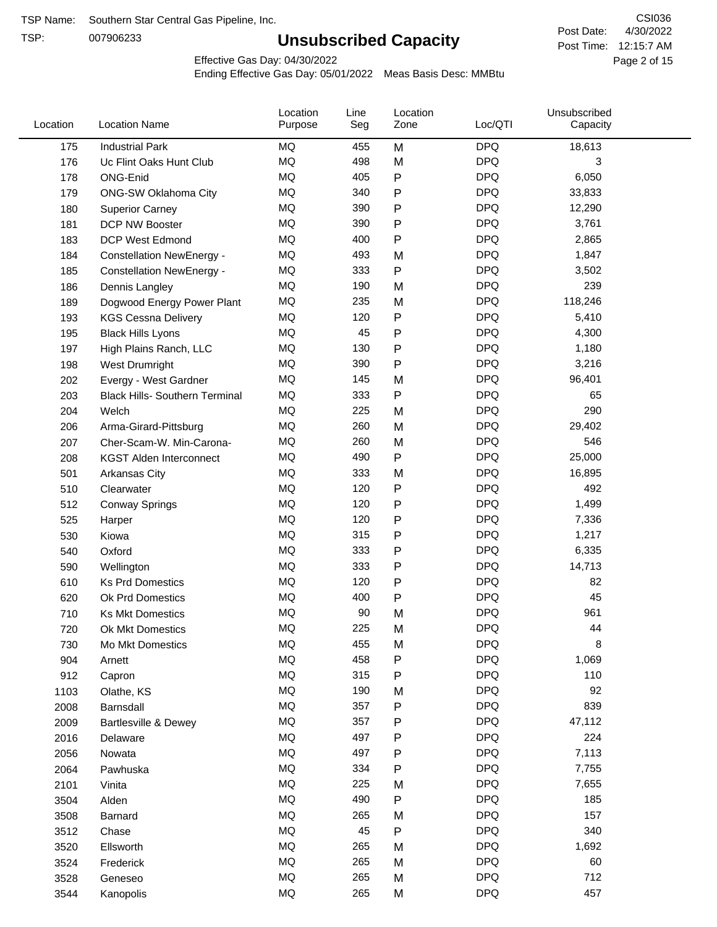TSP:

# **Unsubscribed Capacity**

4/30/2022 Page 2 of 15 Post Time: 12:15:7 AM CSI036 Post Date:

Effective Gas Day: 04/30/2022

| Location | <b>Location Name</b>                  | Location<br>Purpose | Line<br>Seg | Location<br>Zone | Loc/QTI    | Unsubscribed<br>Capacity |  |
|----------|---------------------------------------|---------------------|-------------|------------------|------------|--------------------------|--|
| 175      | <b>Industrial Park</b>                | MQ                  | 455         | M                | <b>DPQ</b> | 18,613                   |  |
| 176      | Uc Flint Oaks Hunt Club               | MQ                  | 498         | M                | <b>DPQ</b> | 3                        |  |
| 178      | ONG-Enid                              | MQ                  | 405         | P                | <b>DPQ</b> | 6,050                    |  |
| 179      | <b>ONG-SW Oklahoma City</b>           | <b>MQ</b>           | 340         | P                | <b>DPQ</b> | 33,833                   |  |
| 180      | <b>Superior Carney</b>                | <b>MQ</b>           | 390         | Ρ                | <b>DPQ</b> | 12,290                   |  |
| 181      | DCP NW Booster                        | <b>MQ</b>           | 390         | Ρ                | <b>DPQ</b> | 3,761                    |  |
| 183      | <b>DCP West Edmond</b>                | MQ                  | 400         | P                | <b>DPQ</b> | 2,865                    |  |
| 184      | <b>Constellation NewEnergy -</b>      | MQ                  | 493         | M                | <b>DPQ</b> | 1,847                    |  |
| 185      | <b>Constellation NewEnergy -</b>      | MQ                  | 333         | P                | <b>DPQ</b> | 3,502                    |  |
| 186      | Dennis Langley                        | <b>MQ</b>           | 190         | M                | <b>DPQ</b> | 239                      |  |
| 189      | Dogwood Energy Power Plant            | MQ                  | 235         | M                | <b>DPQ</b> | 118,246                  |  |
| 193      | <b>KGS Cessna Delivery</b>            | MQ                  | 120         | P                | <b>DPQ</b> | 5,410                    |  |
| 195      | <b>Black Hills Lyons</b>              | <b>MQ</b>           | 45          | Ρ                | <b>DPQ</b> | 4,300                    |  |
| 197      | High Plains Ranch, LLC                | <b>MQ</b>           | 130         | Ρ                | <b>DPQ</b> | 1,180                    |  |
| 198      | West Drumright                        | <b>MQ</b>           | 390         | P                | <b>DPQ</b> | 3,216                    |  |
| 202      | Evergy - West Gardner                 | <b>MQ</b>           | 145         | M                | <b>DPQ</b> | 96,401                   |  |
| 203      | <b>Black Hills- Southern Terminal</b> | MQ                  | 333         | P                | <b>DPQ</b> | 65                       |  |
| 204      | Welch                                 | MQ                  | 225         | M                | <b>DPQ</b> | 290                      |  |
| 206      | Arma-Girard-Pittsburg                 | MQ                  | 260         | M                | <b>DPQ</b> | 29,402                   |  |
| 207      | Cher-Scam-W. Min-Carona-              | MQ                  | 260         | M                | <b>DPQ</b> | 546                      |  |
| 208      | <b>KGST Alden Interconnect</b>        | <b>MQ</b>           | 490         | P                | <b>DPQ</b> | 25,000                   |  |
| 501      | <b>Arkansas City</b>                  | MQ                  | 333         | M                | <b>DPQ</b> | 16,895                   |  |
| 510      | Clearwater                            | <b>MQ</b>           | 120         | P                | <b>DPQ</b> | 492                      |  |
| 512      | <b>Conway Springs</b>                 | <b>MQ</b>           | 120         | P                | <b>DPQ</b> | 1,499                    |  |
| 525      | Harper                                | <b>MQ</b>           | 120         | Ρ                | <b>DPQ</b> | 7,336                    |  |
| 530      | Kiowa                                 | MQ                  | 315         | P                | <b>DPQ</b> | 1,217                    |  |
| 540      | Oxford                                | <b>MQ</b>           | 333         | Ρ                | <b>DPQ</b> | 6,335                    |  |
| 590      | Wellington                            | <b>MQ</b>           | 333         | Ρ                | <b>DPQ</b> | 14,713                   |  |
| 610      | <b>Ks Prd Domestics</b>               | <b>MQ</b>           | 120         | P                | <b>DPQ</b> | 82                       |  |
| 620      | Ok Prd Domestics                      | MQ                  | 400         | P                | <b>DPQ</b> | 45                       |  |
| 710      | <b>Ks Mkt Domestics</b>               | <b>MQ</b>           | 90          | M                | <b>DPQ</b> | 961                      |  |
| 720      | Ok Mkt Domestics                      | MQ                  | 225         | M                | <b>DPQ</b> | 44                       |  |
| 730      | Mo Mkt Domestics                      | MQ                  | 455         | M                | <b>DPQ</b> | 8                        |  |
| 904      | Arnett                                | $\sf{MQ}$           | 458         | Ρ                | <b>DPQ</b> | 1,069                    |  |
| 912      | Capron                                | $\sf{MQ}$           | 315         | Ρ                | <b>DPQ</b> | 110                      |  |
| 1103     | Olathe, KS                            | $\sf{MQ}$           | 190         | M                | <b>DPQ</b> | 92                       |  |
| 2008     | Barnsdall                             | MQ                  | 357         | Ρ                | <b>DPQ</b> | 839                      |  |
| 2009     | Bartlesville & Dewey                  | MQ                  | 357         | Ρ                | <b>DPQ</b> | 47,112                   |  |
| 2016     | Delaware                              | MQ                  | 497         | P                | <b>DPQ</b> | 224                      |  |
| 2056     | Nowata                                | MQ                  | 497         | Ρ                | <b>DPQ</b> | 7,113                    |  |
| 2064     | Pawhuska                              | $\sf{MQ}$           | 334         | Ρ                | <b>DPQ</b> | 7,755                    |  |
| 2101     | Vinita                                | MQ                  | 225         | M                | <b>DPQ</b> | 7,655                    |  |
| 3504     | Alden                                 | $\sf{MQ}$           | 490         | Ρ                | <b>DPQ</b> | 185                      |  |
| 3508     | Barnard                               | $\sf{MQ}$           | 265         | M                | <b>DPQ</b> | 157                      |  |
| 3512     | Chase                                 | $\sf{MQ}$           | 45          | Ρ                | <b>DPQ</b> | 340                      |  |
| 3520     | Ellsworth                             | MQ                  | 265         | M                | <b>DPQ</b> | 1,692                    |  |
| 3524     | Frederick                             | MQ                  | 265         | M                | <b>DPQ</b> | 60                       |  |
| 3528     | Geneseo                               | $\sf{MQ}$           | 265         | M                | <b>DPQ</b> | 712                      |  |
| 3544     | Kanopolis                             | $\sf{MQ}$           | 265         | M                | <b>DPQ</b> | 457                      |  |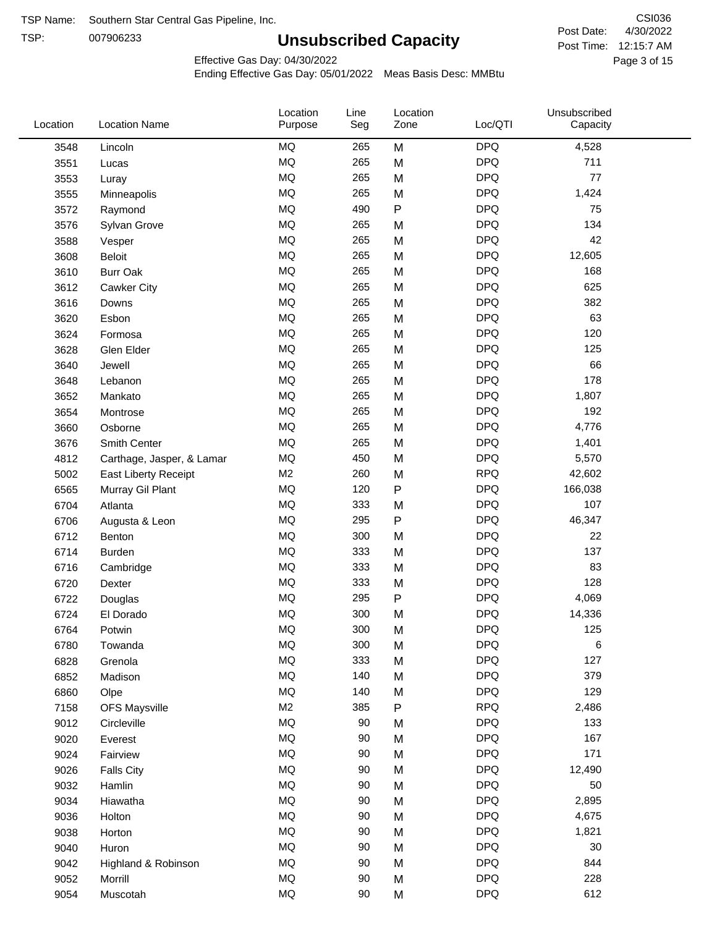TSP: 

# **Unsubscribed Capacity**

4/30/2022 Page 3 of 15 Post Time: 12:15:7 AM CSI036 Post Date:

Effective Gas Day: 04/30/2022

| Location | <b>Location Name</b>      | Location<br>Purpose | Line<br>Seg | Location<br>Zone | Loc/QTI    | Unsubscribed<br>Capacity |  |
|----------|---------------------------|---------------------|-------------|------------------|------------|--------------------------|--|
| 3548     | Lincoln                   | MQ                  | 265         | M                | <b>DPQ</b> | 4,528                    |  |
| 3551     | Lucas                     | MQ                  | 265         | M                | <b>DPQ</b> | 711                      |  |
| 3553     | Luray                     | <b>MQ</b>           | 265         | M                | <b>DPQ</b> | 77                       |  |
| 3555     | Minneapolis               | <b>MQ</b>           | 265         | M                | <b>DPQ</b> | 1,424                    |  |
| 3572     | Raymond                   | <b>MQ</b>           | 490         | P                | <b>DPQ</b> | 75                       |  |
| 3576     | Sylvan Grove              | MQ                  | 265         | M                | <b>DPQ</b> | 134                      |  |
| 3588     | Vesper                    | <b>MQ</b>           | 265         | M                | <b>DPQ</b> | 42                       |  |
| 3608     | Beloit                    | <b>MQ</b>           | 265         | M                | <b>DPQ</b> | 12,605                   |  |
| 3610     | <b>Burr Oak</b>           | <b>MQ</b>           | 265         | M                | <b>DPQ</b> | 168                      |  |
| 3612     | Cawker City               | MQ                  | 265         | M                | <b>DPQ</b> | 625                      |  |
| 3616     | Downs                     | <b>MQ</b>           | 265         | M                | <b>DPQ</b> | 382                      |  |
| 3620     | Esbon                     | <b>MQ</b>           | 265         | M                | <b>DPQ</b> | 63                       |  |
| 3624     | Formosa                   | <b>MQ</b>           | 265         | M                | <b>DPQ</b> | 120                      |  |
| 3628     | Glen Elder                | <b>MQ</b>           | 265         | M                | <b>DPQ</b> | 125                      |  |
| 3640     | Jewell                    | <b>MQ</b>           | 265         | M                | <b>DPQ</b> | 66                       |  |
| 3648     | Lebanon                   | <b>MQ</b>           | 265         | M                | <b>DPQ</b> | 178                      |  |
| 3652     | Mankato                   | MQ                  | 265         | M                | <b>DPQ</b> | 1,807                    |  |
| 3654     | Montrose                  | MQ                  | 265         | M                | <b>DPQ</b> | 192                      |  |
| 3660     | Osborne                   | <b>MQ</b>           | 265         | M                | <b>DPQ</b> | 4,776                    |  |
| 3676     | Smith Center              | MQ                  | 265         | M                | <b>DPQ</b> | 1,401                    |  |
| 4812     | Carthage, Jasper, & Lamar | <b>MQ</b>           | 450         | M                | <b>DPQ</b> | 5,570                    |  |
| 5002     | East Liberty Receipt      | M <sub>2</sub>      | 260         | M                | <b>RPQ</b> | 42,602                   |  |
| 6565     | Murray Gil Plant          | <b>MQ</b>           | 120         | P                | <b>DPQ</b> | 166,038                  |  |
| 6704     | Atlanta                   | <b>MQ</b>           | 333         | M                | <b>DPQ</b> | 107                      |  |
| 6706     | Augusta & Leon            | MQ                  | 295         | P                | <b>DPQ</b> | 46,347                   |  |
| 6712     | Benton                    | <b>MQ</b>           | 300         | M                | <b>DPQ</b> | 22                       |  |
| 6714     | <b>Burden</b>             | <b>MQ</b>           | 333         | M                | <b>DPQ</b> | 137                      |  |
| 6716     | Cambridge                 | MQ                  | 333         | M                | <b>DPQ</b> | 83                       |  |
| 6720     | Dexter                    | MQ                  | 333         | M                | <b>DPQ</b> | 128                      |  |
| 6722     | Douglas                   | <b>MQ</b>           | 295         | P                | <b>DPQ</b> | 4,069                    |  |
| 6724     | El Dorado                 | <b>MQ</b>           | 300         | M                | <b>DPQ</b> | 14,336                   |  |
| 6764     | Potwin                    | <b>MQ</b>           | 300         | M                | <b>DPQ</b> | 125                      |  |
| 6780     | Towanda                   | MQ                  | 300         | M                | <b>DPQ</b> | 6                        |  |
| 6828     | Grenola                   | MQ                  | 333         | M                | <b>DPQ</b> | 127                      |  |
| 6852     | Madison                   | <b>MQ</b>           | 140         | M                | <b>DPQ</b> | 379                      |  |
| 6860     | Olpe                      | MQ                  | 140         | M                | <b>DPQ</b> | 129                      |  |
| 7158     | <b>OFS Maysville</b>      | M <sub>2</sub>      | 385         | P                | <b>RPQ</b> | 2,486                    |  |
| 9012     | Circleville               | MQ                  | 90          | M                | <b>DPQ</b> | 133                      |  |
| 9020     | Everest                   | $\sf{MQ}$           | 90          | M                | <b>DPQ</b> | 167                      |  |
| 9024     | Fairview                  | $\sf{MQ}$           | 90          | M                | <b>DPQ</b> | 171                      |  |
| 9026     | <b>Falls City</b>         | MQ                  | 90          | M                | <b>DPQ</b> | 12,490                   |  |
| 9032     | Hamlin                    | MQ                  | 90          | M                | <b>DPQ</b> | 50                       |  |
| 9034     | Hiawatha                  | MQ                  | 90          | M                | <b>DPQ</b> | 2,895                    |  |
| 9036     | Holton                    | MQ                  | 90          | M                | <b>DPQ</b> | 4,675                    |  |
| 9038     | Horton                    | <b>MQ</b>           | 90          | M                | <b>DPQ</b> | 1,821                    |  |
| 9040     | Huron                     | MQ                  | 90          | M                | <b>DPQ</b> | 30                       |  |
| 9042     | Highland & Robinson       | MQ                  | 90          | M                | <b>DPQ</b> | 844                      |  |
| 9052     | Morrill                   | MQ                  | 90          | M                | <b>DPQ</b> | 228                      |  |
| 9054     | Muscotah                  | $\sf{MQ}$           | 90          | M                | <b>DPQ</b> | 612                      |  |
|          |                           |                     |             |                  |            |                          |  |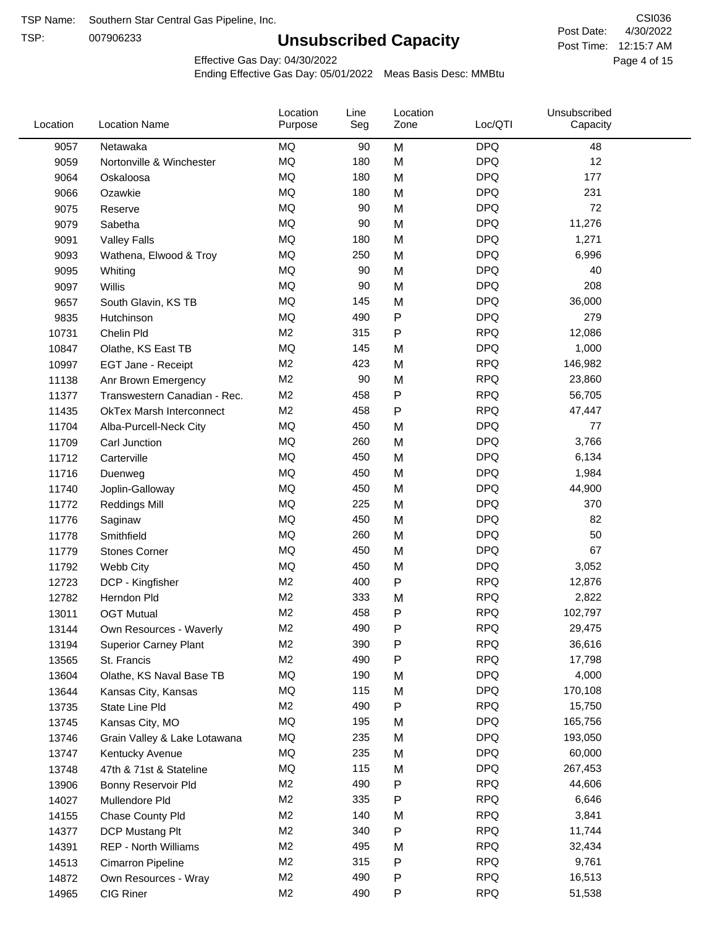TSP:

# **Unsubscribed Capacity**

4/30/2022 Page 4 of 15 Post Time: 12:15:7 AM CSI036 Post Date:

Effective Gas Day: 04/30/2022

| Location | <b>Location Name</b>            | Location<br>Purpose | Line<br>Seg | Location<br>Zone | Loc/QTI    | Unsubscribed<br>Capacity |  |
|----------|---------------------------------|---------------------|-------------|------------------|------------|--------------------------|--|
| 9057     | Netawaka                        | MQ                  | 90          | M                | <b>DPQ</b> | 48                       |  |
| 9059     | Nortonville & Winchester        | <b>MQ</b>           | 180         | M                | <b>DPQ</b> | 12                       |  |
| 9064     | Oskaloosa                       | MQ                  | 180         | M                | <b>DPQ</b> | 177                      |  |
| 9066     | Ozawkie                         | <b>MQ</b>           | 180         | M                | <b>DPQ</b> | 231                      |  |
| 9075     | Reserve                         | <b>MQ</b>           | 90          | M                | <b>DPQ</b> | 72                       |  |
| 9079     | Sabetha                         | <b>MQ</b>           | 90          | M                | <b>DPQ</b> | 11,276                   |  |
| 9091     | <b>Valley Falls</b>             | <b>MQ</b>           | 180         | M                | <b>DPQ</b> | 1,271                    |  |
| 9093     | Wathena, Elwood & Troy          | <b>MQ</b>           | 250         | M                | <b>DPQ</b> | 6,996                    |  |
| 9095     | Whiting                         | MQ                  | 90          | M                | <b>DPQ</b> | 40                       |  |
| 9097     | Willis                          | <b>MQ</b>           | 90          | M                | <b>DPQ</b> | 208                      |  |
| 9657     | South Glavin, KS TB             | <b>MQ</b>           | 145         | M                | <b>DPQ</b> | 36,000                   |  |
| 9835     | Hutchinson                      | MQ                  | 490         | P                | <b>DPQ</b> | 279                      |  |
| 10731    | Chelin Pld                      | M <sub>2</sub>      | 315         | Ρ                | <b>RPQ</b> | 12,086                   |  |
| 10847    | Olathe, KS East TB              | <b>MQ</b>           | 145         | M                | <b>DPQ</b> | 1,000                    |  |
| 10997    | EGT Jane - Receipt              | M <sub>2</sub>      | 423         | M                | <b>RPQ</b> | 146,982                  |  |
| 11138    | Anr Brown Emergency             | M <sub>2</sub>      | 90          | M                | <b>RPQ</b> | 23,860                   |  |
| 11377    | Transwestern Canadian - Rec.    | M <sub>2</sub>      | 458         | P                | <b>RPQ</b> | 56,705                   |  |
| 11435    | <b>OkTex Marsh Interconnect</b> | M <sub>2</sub>      | 458         | Ρ                | <b>RPQ</b> | 47,447                   |  |
| 11704    | Alba-Purcell-Neck City          | MQ                  | 450         | M                | <b>DPQ</b> | 77                       |  |
| 11709    | Carl Junction                   | <b>MQ</b>           | 260         | M                | <b>DPQ</b> | 3,766                    |  |
| 11712    | Carterville                     | <b>MQ</b>           | 450         | M                | <b>DPQ</b> | 6,134                    |  |
| 11716    | Duenweg                         | <b>MQ</b>           | 450         | M                | <b>DPQ</b> | 1,984                    |  |
| 11740    | Joplin-Galloway                 | <b>MQ</b>           | 450         | M                | <b>DPQ</b> | 44,900                   |  |
| 11772    | <b>Reddings Mill</b>            | <b>MQ</b>           | 225         | M                | <b>DPQ</b> | 370                      |  |
| 11776    | Saginaw                         | <b>MQ</b>           | 450         | M                | <b>DPQ</b> | 82                       |  |
| 11778    | Smithfield                      | <b>MQ</b>           | 260         | M                | <b>DPQ</b> | 50                       |  |
| 11779    | <b>Stones Corner</b>            | <b>MQ</b>           | 450         | M                | <b>DPQ</b> | 67                       |  |
| 11792    | Webb City                       | <b>MQ</b>           | 450         | M                | <b>DPQ</b> | 3,052                    |  |
| 12723    | DCP - Kingfisher                | M <sub>2</sub>      | 400         | P                | <b>RPQ</b> | 12,876                   |  |
| 12782    | Herndon Pld                     | M <sub>2</sub>      | 333         | M                | <b>RPQ</b> | 2,822                    |  |
| 13011    | <b>OGT Mutual</b>               | M <sub>2</sub>      | 458         | P                | <b>RPQ</b> | 102,797                  |  |
| 13144    | Own Resources - Waverly         | M <sub>2</sub>      | 490         | P                | <b>RPQ</b> | 29,475                   |  |
| 13194    | <b>Superior Carney Plant</b>    | M <sub>2</sub>      | 390         | Ρ                | <b>RPQ</b> | 36,616                   |  |
| 13565    | St. Francis                     | M2                  | 490         | Ρ                | <b>RPQ</b> | 17,798                   |  |
| 13604    | Olathe, KS Naval Base TB        | MQ                  | 190         | M                | <b>DPQ</b> | 4,000                    |  |
| 13644    | Kansas City, Kansas             | MQ                  | 115         | M                | <b>DPQ</b> | 170,108                  |  |
| 13735    | State Line Pld                  | M <sub>2</sub>      | 490         | Ρ                | <b>RPQ</b> | 15,750                   |  |
| 13745    | Kansas City, MO                 | MQ                  | 195         | M                | <b>DPQ</b> | 165,756                  |  |
| 13746    | Grain Valley & Lake Lotawana    | MQ                  | 235         | M                | <b>DPQ</b> | 193,050                  |  |
| 13747    | Kentucky Avenue                 | MQ                  | 235         | M                | <b>DPQ</b> | 60,000                   |  |
| 13748    | 47th & 71st & Stateline         | MQ                  | 115         | M                | <b>DPQ</b> | 267,453                  |  |
| 13906    | Bonny Reservoir Pld             | M <sub>2</sub>      | 490         | Ρ                | <b>RPQ</b> | 44,606                   |  |
| 14027    | Mullendore Pld                  | M <sub>2</sub>      | 335         | Ρ                | <b>RPQ</b> | 6,646                    |  |
| 14155    | Chase County Pld                | M <sub>2</sub>      | 140         | M                | <b>RPQ</b> | 3,841                    |  |
| 14377    | DCP Mustang Plt                 | M <sub>2</sub>      | 340         | Ρ                | <b>RPQ</b> | 11,744                   |  |
| 14391    | <b>REP - North Williams</b>     | M <sub>2</sub>      | 495         | M                | <b>RPQ</b> | 32,434                   |  |
| 14513    | Cimarron Pipeline               | M <sub>2</sub>      | 315         | Ρ                | <b>RPQ</b> | 9,761                    |  |
| 14872    | Own Resources - Wray            | M <sub>2</sub>      | 490         | Ρ                | <b>RPQ</b> | 16,513                   |  |
| 14965    | CIG Riner                       | M <sub>2</sub>      | 490         | P                | <b>RPQ</b> | 51,538                   |  |
|          |                                 |                     |             |                  |            |                          |  |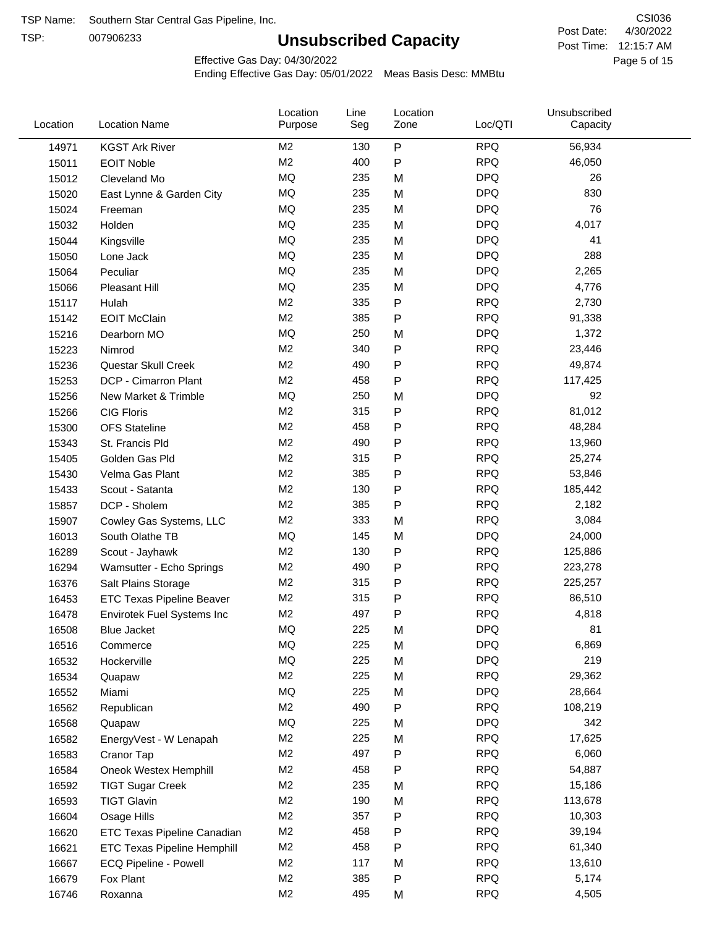TSP:

# **Unsubscribed Capacity**

4/30/2022 Page 5 of 15 Post Time: 12:15:7 AM CSI036 Post Date:

Effective Gas Day: 04/30/2022

| $\mathsf{P}$<br><b>RPQ</b><br>M <sub>2</sub><br>56,934<br>130<br>14971<br><b>KGST Ark River</b><br>M <sub>2</sub><br><b>RPQ</b><br>400<br>P<br>46,050<br>15011<br><b>EOIT Noble</b><br><b>MQ</b><br><b>DPQ</b><br>235<br>26<br>M<br>15012<br>Cleveland Mo<br><b>MQ</b><br><b>DPQ</b><br>235<br>830<br>15020<br>East Lynne & Garden City<br>M<br><b>MQ</b><br><b>DPQ</b><br>76<br>235<br>M<br>15024<br>Freeman<br><b>MQ</b><br><b>DPQ</b><br>235<br>4,017<br>Holden<br>M<br>15032<br><b>MQ</b><br><b>DPQ</b><br>235<br>41<br>M<br>15044<br>Kingsville<br><b>MQ</b><br><b>DPQ</b><br>288<br>235<br>M<br>15050<br>Lone Jack<br><b>MQ</b><br><b>DPQ</b><br>Peculiar<br>235<br>2,265<br>15064<br>M<br><b>MQ</b><br><b>DPQ</b><br>235<br>M<br>4,776<br>15066<br><b>Pleasant Hill</b><br>M <sub>2</sub><br><b>RPQ</b><br>335<br>P<br>2,730<br>15117<br>Hulah<br>M <sub>2</sub><br>P<br><b>RPQ</b><br>385<br>91,338<br><b>EOIT McClain</b><br>15142<br><b>DPQ</b><br>MQ<br>250<br>1,372<br>15216<br>Dearborn MO<br>M<br>M <sub>2</sub><br>P<br><b>RPQ</b><br>340<br>15223<br>23,446<br>Nimrod<br>M <sub>2</sub><br><b>RPQ</b><br>490<br>P<br>49,874<br>15236<br>Questar Skull Creek<br><b>RPQ</b><br>M <sub>2</sub><br>458<br>P<br>DCP - Cimarron Plant<br>117,425<br>15253<br><b>MQ</b><br><b>DPQ</b><br>250<br>92<br>15256<br>New Market & Trimble<br>M<br>M <sub>2</sub><br><b>RPQ</b><br>315<br>Ρ<br>81,012<br><b>CIG Floris</b><br>15266<br>M <sub>2</sub><br><b>RPQ</b><br>458<br>P<br>48,284<br>15300<br><b>OFS</b> Stateline<br>P<br><b>RPQ</b><br>M <sub>2</sub><br>490<br>13,960<br>15343<br>St. Francis Pld<br><b>RPQ</b><br>M <sub>2</sub><br>315<br>P<br>25,274<br>Golden Gas Pld<br>15405<br><b>RPQ</b><br>M <sub>2</sub><br>385<br>P<br>53,846<br>Velma Gas Plant<br>15430<br>M <sub>2</sub><br><b>RPQ</b><br>130<br>Scout - Satanta<br>P<br>185,442<br>15433 |  |
|----------------------------------------------------------------------------------------------------------------------------------------------------------------------------------------------------------------------------------------------------------------------------------------------------------------------------------------------------------------------------------------------------------------------------------------------------------------------------------------------------------------------------------------------------------------------------------------------------------------------------------------------------------------------------------------------------------------------------------------------------------------------------------------------------------------------------------------------------------------------------------------------------------------------------------------------------------------------------------------------------------------------------------------------------------------------------------------------------------------------------------------------------------------------------------------------------------------------------------------------------------------------------------------------------------------------------------------------------------------------------------------------------------------------------------------------------------------------------------------------------------------------------------------------------------------------------------------------------------------------------------------------------------------------------------------------------------------------------------------------------------------------------------------------------------------------------------------------------------------------|--|
|                                                                                                                                                                                                                                                                                                                                                                                                                                                                                                                                                                                                                                                                                                                                                                                                                                                                                                                                                                                                                                                                                                                                                                                                                                                                                                                                                                                                                                                                                                                                                                                                                                                                                                                                                                                                                                                                      |  |
|                                                                                                                                                                                                                                                                                                                                                                                                                                                                                                                                                                                                                                                                                                                                                                                                                                                                                                                                                                                                                                                                                                                                                                                                                                                                                                                                                                                                                                                                                                                                                                                                                                                                                                                                                                                                                                                                      |  |
|                                                                                                                                                                                                                                                                                                                                                                                                                                                                                                                                                                                                                                                                                                                                                                                                                                                                                                                                                                                                                                                                                                                                                                                                                                                                                                                                                                                                                                                                                                                                                                                                                                                                                                                                                                                                                                                                      |  |
|                                                                                                                                                                                                                                                                                                                                                                                                                                                                                                                                                                                                                                                                                                                                                                                                                                                                                                                                                                                                                                                                                                                                                                                                                                                                                                                                                                                                                                                                                                                                                                                                                                                                                                                                                                                                                                                                      |  |
|                                                                                                                                                                                                                                                                                                                                                                                                                                                                                                                                                                                                                                                                                                                                                                                                                                                                                                                                                                                                                                                                                                                                                                                                                                                                                                                                                                                                                                                                                                                                                                                                                                                                                                                                                                                                                                                                      |  |
|                                                                                                                                                                                                                                                                                                                                                                                                                                                                                                                                                                                                                                                                                                                                                                                                                                                                                                                                                                                                                                                                                                                                                                                                                                                                                                                                                                                                                                                                                                                                                                                                                                                                                                                                                                                                                                                                      |  |
|                                                                                                                                                                                                                                                                                                                                                                                                                                                                                                                                                                                                                                                                                                                                                                                                                                                                                                                                                                                                                                                                                                                                                                                                                                                                                                                                                                                                                                                                                                                                                                                                                                                                                                                                                                                                                                                                      |  |
|                                                                                                                                                                                                                                                                                                                                                                                                                                                                                                                                                                                                                                                                                                                                                                                                                                                                                                                                                                                                                                                                                                                                                                                                                                                                                                                                                                                                                                                                                                                                                                                                                                                                                                                                                                                                                                                                      |  |
|                                                                                                                                                                                                                                                                                                                                                                                                                                                                                                                                                                                                                                                                                                                                                                                                                                                                                                                                                                                                                                                                                                                                                                                                                                                                                                                                                                                                                                                                                                                                                                                                                                                                                                                                                                                                                                                                      |  |
|                                                                                                                                                                                                                                                                                                                                                                                                                                                                                                                                                                                                                                                                                                                                                                                                                                                                                                                                                                                                                                                                                                                                                                                                                                                                                                                                                                                                                                                                                                                                                                                                                                                                                                                                                                                                                                                                      |  |
|                                                                                                                                                                                                                                                                                                                                                                                                                                                                                                                                                                                                                                                                                                                                                                                                                                                                                                                                                                                                                                                                                                                                                                                                                                                                                                                                                                                                                                                                                                                                                                                                                                                                                                                                                                                                                                                                      |  |
|                                                                                                                                                                                                                                                                                                                                                                                                                                                                                                                                                                                                                                                                                                                                                                                                                                                                                                                                                                                                                                                                                                                                                                                                                                                                                                                                                                                                                                                                                                                                                                                                                                                                                                                                                                                                                                                                      |  |
|                                                                                                                                                                                                                                                                                                                                                                                                                                                                                                                                                                                                                                                                                                                                                                                                                                                                                                                                                                                                                                                                                                                                                                                                                                                                                                                                                                                                                                                                                                                                                                                                                                                                                                                                                                                                                                                                      |  |
|                                                                                                                                                                                                                                                                                                                                                                                                                                                                                                                                                                                                                                                                                                                                                                                                                                                                                                                                                                                                                                                                                                                                                                                                                                                                                                                                                                                                                                                                                                                                                                                                                                                                                                                                                                                                                                                                      |  |
|                                                                                                                                                                                                                                                                                                                                                                                                                                                                                                                                                                                                                                                                                                                                                                                                                                                                                                                                                                                                                                                                                                                                                                                                                                                                                                                                                                                                                                                                                                                                                                                                                                                                                                                                                                                                                                                                      |  |
|                                                                                                                                                                                                                                                                                                                                                                                                                                                                                                                                                                                                                                                                                                                                                                                                                                                                                                                                                                                                                                                                                                                                                                                                                                                                                                                                                                                                                                                                                                                                                                                                                                                                                                                                                                                                                                                                      |  |
|                                                                                                                                                                                                                                                                                                                                                                                                                                                                                                                                                                                                                                                                                                                                                                                                                                                                                                                                                                                                                                                                                                                                                                                                                                                                                                                                                                                                                                                                                                                                                                                                                                                                                                                                                                                                                                                                      |  |
|                                                                                                                                                                                                                                                                                                                                                                                                                                                                                                                                                                                                                                                                                                                                                                                                                                                                                                                                                                                                                                                                                                                                                                                                                                                                                                                                                                                                                                                                                                                                                                                                                                                                                                                                                                                                                                                                      |  |
|                                                                                                                                                                                                                                                                                                                                                                                                                                                                                                                                                                                                                                                                                                                                                                                                                                                                                                                                                                                                                                                                                                                                                                                                                                                                                                                                                                                                                                                                                                                                                                                                                                                                                                                                                                                                                                                                      |  |
|                                                                                                                                                                                                                                                                                                                                                                                                                                                                                                                                                                                                                                                                                                                                                                                                                                                                                                                                                                                                                                                                                                                                                                                                                                                                                                                                                                                                                                                                                                                                                                                                                                                                                                                                                                                                                                                                      |  |
|                                                                                                                                                                                                                                                                                                                                                                                                                                                                                                                                                                                                                                                                                                                                                                                                                                                                                                                                                                                                                                                                                                                                                                                                                                                                                                                                                                                                                                                                                                                                                                                                                                                                                                                                                                                                                                                                      |  |
|                                                                                                                                                                                                                                                                                                                                                                                                                                                                                                                                                                                                                                                                                                                                                                                                                                                                                                                                                                                                                                                                                                                                                                                                                                                                                                                                                                                                                                                                                                                                                                                                                                                                                                                                                                                                                                                                      |  |
|                                                                                                                                                                                                                                                                                                                                                                                                                                                                                                                                                                                                                                                                                                                                                                                                                                                                                                                                                                                                                                                                                                                                                                                                                                                                                                                                                                                                                                                                                                                                                                                                                                                                                                                                                                                                                                                                      |  |
| M <sub>2</sub><br>P<br><b>RPQ</b><br>385<br>2,182<br>15857<br>DCP - Sholem                                                                                                                                                                                                                                                                                                                                                                                                                                                                                                                                                                                                                                                                                                                                                                                                                                                                                                                                                                                                                                                                                                                                                                                                                                                                                                                                                                                                                                                                                                                                                                                                                                                                                                                                                                                           |  |
| M <sub>2</sub><br><b>RPQ</b><br>333<br>3,084<br>M<br>15907<br>Cowley Gas Systems, LLC                                                                                                                                                                                                                                                                                                                                                                                                                                                                                                                                                                                                                                                                                                                                                                                                                                                                                                                                                                                                                                                                                                                                                                                                                                                                                                                                                                                                                                                                                                                                                                                                                                                                                                                                                                                |  |
| <b>DPQ</b><br>MQ<br>145<br>24,000<br>16013<br>South Olathe TB<br>M                                                                                                                                                                                                                                                                                                                                                                                                                                                                                                                                                                                                                                                                                                                                                                                                                                                                                                                                                                                                                                                                                                                                                                                                                                                                                                                                                                                                                                                                                                                                                                                                                                                                                                                                                                                                   |  |
| P<br><b>RPQ</b><br>M <sub>2</sub><br>130<br>125,886<br>16289<br>Scout - Jayhawk                                                                                                                                                                                                                                                                                                                                                                                                                                                                                                                                                                                                                                                                                                                                                                                                                                                                                                                                                                                                                                                                                                                                                                                                                                                                                                                                                                                                                                                                                                                                                                                                                                                                                                                                                                                      |  |
| <b>RPQ</b><br>M <sub>2</sub><br>490<br>P<br>16294<br>223,278<br>Wamsutter - Echo Springs                                                                                                                                                                                                                                                                                                                                                                                                                                                                                                                                                                                                                                                                                                                                                                                                                                                                                                                                                                                                                                                                                                                                                                                                                                                                                                                                                                                                                                                                                                                                                                                                                                                                                                                                                                             |  |
| P<br>M <sub>2</sub><br>315<br><b>RPQ</b><br>225,257<br>16376<br>Salt Plains Storage                                                                                                                                                                                                                                                                                                                                                                                                                                                                                                                                                                                                                                                                                                                                                                                                                                                                                                                                                                                                                                                                                                                                                                                                                                                                                                                                                                                                                                                                                                                                                                                                                                                                                                                                                                                  |  |
| <b>RPQ</b><br>M <sub>2</sub><br>315<br>P<br>86,510<br>16453<br><b>ETC Texas Pipeline Beaver</b>                                                                                                                                                                                                                                                                                                                                                                                                                                                                                                                                                                                                                                                                                                                                                                                                                                                                                                                                                                                                                                                                                                                                                                                                                                                                                                                                                                                                                                                                                                                                                                                                                                                                                                                                                                      |  |
| M <sub>2</sub><br>497<br>P<br><b>RPQ</b><br>4,818<br>16478<br>Envirotek Fuel Systems Inc                                                                                                                                                                                                                                                                                                                                                                                                                                                                                                                                                                                                                                                                                                                                                                                                                                                                                                                                                                                                                                                                                                                                                                                                                                                                                                                                                                                                                                                                                                                                                                                                                                                                                                                                                                             |  |
| <b>DPQ</b><br>MQ<br>225<br>81<br>16508<br>M<br><b>Blue Jacket</b>                                                                                                                                                                                                                                                                                                                                                                                                                                                                                                                                                                                                                                                                                                                                                                                                                                                                                                                                                                                                                                                                                                                                                                                                                                                                                                                                                                                                                                                                                                                                                                                                                                                                                                                                                                                                    |  |
| MQ<br>225<br><b>DPQ</b><br>6,869<br>M<br>16516<br>Commerce                                                                                                                                                                                                                                                                                                                                                                                                                                                                                                                                                                                                                                                                                                                                                                                                                                                                                                                                                                                                                                                                                                                                                                                                                                                                                                                                                                                                                                                                                                                                                                                                                                                                                                                                                                                                           |  |
| <b>MQ</b><br><b>DPQ</b><br>219<br>225<br>M<br>16532<br>Hockerville                                                                                                                                                                                                                                                                                                                                                                                                                                                                                                                                                                                                                                                                                                                                                                                                                                                                                                                                                                                                                                                                                                                                                                                                                                                                                                                                                                                                                                                                                                                                                                                                                                                                                                                                                                                                   |  |
| <b>RPQ</b><br>M <sub>2</sub><br>225<br>29,362<br>M<br>16534<br>Quapaw                                                                                                                                                                                                                                                                                                                                                                                                                                                                                                                                                                                                                                                                                                                                                                                                                                                                                                                                                                                                                                                                                                                                                                                                                                                                                                                                                                                                                                                                                                                                                                                                                                                                                                                                                                                                |  |
| MQ<br>225<br><b>DPQ</b><br>28,664<br>16552<br>M<br>Miami                                                                                                                                                                                                                                                                                                                                                                                                                                                                                                                                                                                                                                                                                                                                                                                                                                                                                                                                                                                                                                                                                                                                                                                                                                                                                                                                                                                                                                                                                                                                                                                                                                                                                                                                                                                                             |  |
| M <sub>2</sub><br>490<br><b>RPQ</b><br>P<br>108,219<br>16562<br>Republican                                                                                                                                                                                                                                                                                                                                                                                                                                                                                                                                                                                                                                                                                                                                                                                                                                                                                                                                                                                                                                                                                                                                                                                                                                                                                                                                                                                                                                                                                                                                                                                                                                                                                                                                                                                           |  |
| <b>MQ</b><br><b>DPQ</b><br>225<br>342<br>16568<br>M<br>Quapaw                                                                                                                                                                                                                                                                                                                                                                                                                                                                                                                                                                                                                                                                                                                                                                                                                                                                                                                                                                                                                                                                                                                                                                                                                                                                                                                                                                                                                                                                                                                                                                                                                                                                                                                                                                                                        |  |
| <b>RPQ</b><br>M <sub>2</sub><br>225<br>17,625<br>M<br>16582<br>EnergyVest - W Lenapah                                                                                                                                                                                                                                                                                                                                                                                                                                                                                                                                                                                                                                                                                                                                                                                                                                                                                                                                                                                                                                                                                                                                                                                                                                                                                                                                                                                                                                                                                                                                                                                                                                                                                                                                                                                |  |
| M <sub>2</sub><br><b>RPQ</b><br>497<br>6,060<br>16583<br>Ρ<br>Cranor Tap                                                                                                                                                                                                                                                                                                                                                                                                                                                                                                                                                                                                                                                                                                                                                                                                                                                                                                                                                                                                                                                                                                                                                                                                                                                                                                                                                                                                                                                                                                                                                                                                                                                                                                                                                                                             |  |
| <b>RPQ</b><br>M <sub>2</sub><br>458<br>54,887<br>16584<br>Oneok Westex Hemphill<br>Ρ                                                                                                                                                                                                                                                                                                                                                                                                                                                                                                                                                                                                                                                                                                                                                                                                                                                                                                                                                                                                                                                                                                                                                                                                                                                                                                                                                                                                                                                                                                                                                                                                                                                                                                                                                                                 |  |
| <b>RPQ</b><br>M <sub>2</sub><br>235<br>15,186<br>16592<br><b>TIGT Sugar Creek</b><br>M                                                                                                                                                                                                                                                                                                                                                                                                                                                                                                                                                                                                                                                                                                                                                                                                                                                                                                                                                                                                                                                                                                                                                                                                                                                                                                                                                                                                                                                                                                                                                                                                                                                                                                                                                                               |  |
| M <sub>2</sub><br>190<br><b>RPQ</b><br>113,678<br><b>TIGT Glavin</b><br>16593<br>M                                                                                                                                                                                                                                                                                                                                                                                                                                                                                                                                                                                                                                                                                                                                                                                                                                                                                                                                                                                                                                                                                                                                                                                                                                                                                                                                                                                                                                                                                                                                                                                                                                                                                                                                                                                   |  |
| <b>RPQ</b><br>M <sub>2</sub><br>357<br>Ρ<br>10,303<br>16604<br>Osage Hills                                                                                                                                                                                                                                                                                                                                                                                                                                                                                                                                                                                                                                                                                                                                                                                                                                                                                                                                                                                                                                                                                                                                                                                                                                                                                                                                                                                                                                                                                                                                                                                                                                                                                                                                                                                           |  |
| <b>RPQ</b><br>M <sub>2</sub><br>458<br>Ρ<br>39,194<br>16620<br>ETC Texas Pipeline Canadian                                                                                                                                                                                                                                                                                                                                                                                                                                                                                                                                                                                                                                                                                                                                                                                                                                                                                                                                                                                                                                                                                                                                                                                                                                                                                                                                                                                                                                                                                                                                                                                                                                                                                                                                                                           |  |
| M <sub>2</sub><br><b>RPQ</b><br>458<br>Ρ<br>61,340<br>16621<br>ETC Texas Pipeline Hemphill                                                                                                                                                                                                                                                                                                                                                                                                                                                                                                                                                                                                                                                                                                                                                                                                                                                                                                                                                                                                                                                                                                                                                                                                                                                                                                                                                                                                                                                                                                                                                                                                                                                                                                                                                                           |  |
| M <sub>2</sub><br><b>RPQ</b><br>117<br>13,610<br>16667<br>ECQ Pipeline - Powell<br>M                                                                                                                                                                                                                                                                                                                                                                                                                                                                                                                                                                                                                                                                                                                                                                                                                                                                                                                                                                                                                                                                                                                                                                                                                                                                                                                                                                                                                                                                                                                                                                                                                                                                                                                                                                                 |  |
| <b>RPQ</b><br>M <sub>2</sub><br>385<br>5,174<br>Ρ<br>16679<br>Fox Plant                                                                                                                                                                                                                                                                                                                                                                                                                                                                                                                                                                                                                                                                                                                                                                                                                                                                                                                                                                                                                                                                                                                                                                                                                                                                                                                                                                                                                                                                                                                                                                                                                                                                                                                                                                                              |  |
| M <sub>2</sub><br><b>RPQ</b><br>495<br>4,505<br>16746<br>Roxanna<br>M                                                                                                                                                                                                                                                                                                                                                                                                                                                                                                                                                                                                                                                                                                                                                                                                                                                                                                                                                                                                                                                                                                                                                                                                                                                                                                                                                                                                                                                                                                                                                                                                                                                                                                                                                                                                |  |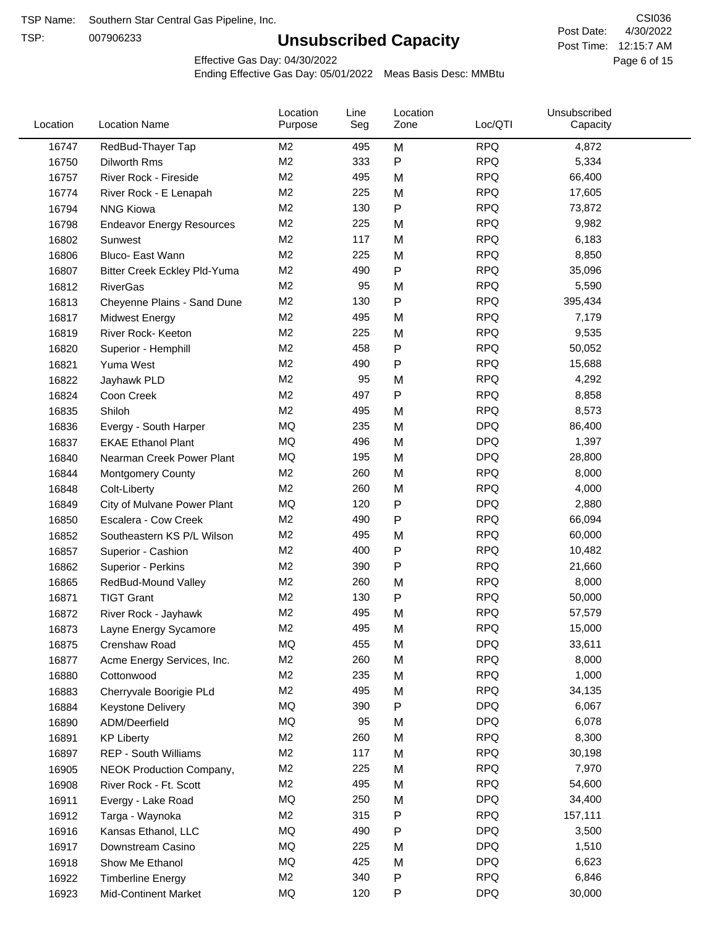TSP:

# **Unsubscribed Capacity**

4/30/2022 Page 6 of 15 Post Time: 12:15:7 AM CSI036 Post Date:

Effective Gas Day: 04/30/2022

| Location | <b>Location Name</b>             | Location<br>Purpose | Line<br>Seg | Location<br>Zone | Loc/QTI    | Unsubscribed<br>Capacity |  |
|----------|----------------------------------|---------------------|-------------|------------------|------------|--------------------------|--|
| 16747    | RedBud-Thayer Tap                | M2                  | 495         | M                | <b>RPQ</b> | 4,872                    |  |
| 16750    | Dilworth Rms                     | M <sub>2</sub>      | 333         | P                | <b>RPQ</b> | 5,334                    |  |
| 16757    | River Rock - Fireside            | M <sub>2</sub>      | 495         | M                | <b>RPQ</b> | 66,400                   |  |
| 16774    | River Rock - E Lenapah           | M <sub>2</sub>      | 225         | M                | <b>RPQ</b> | 17,605                   |  |
| 16794    | <b>NNG Kiowa</b>                 | M <sub>2</sub>      | 130         | $\mathsf{P}$     | <b>RPQ</b> | 73,872                   |  |
| 16798    | <b>Endeavor Energy Resources</b> | M <sub>2</sub>      | 225         | M                | <b>RPQ</b> | 9,982                    |  |
| 16802    | Sunwest                          | M <sub>2</sub>      | 117         | M                | <b>RPQ</b> | 6,183                    |  |
| 16806    | Bluco- East Wann                 | M <sub>2</sub>      | 225         | M                | <b>RPQ</b> | 8,850                    |  |
| 16807    | Bitter Creek Eckley Pld-Yuma     | M <sub>2</sub>      | 490         | $\mathsf{P}$     | <b>RPQ</b> | 35,096                   |  |
| 16812    | <b>RiverGas</b>                  | M <sub>2</sub>      | 95          | M                | <b>RPQ</b> | 5,590                    |  |
| 16813    | Cheyenne Plains - Sand Dune      | M <sub>2</sub>      | 130         | P                | <b>RPQ</b> | 395,434                  |  |
| 16817    | <b>Midwest Energy</b>            | M <sub>2</sub>      | 495         | M                | <b>RPQ</b> | 7,179                    |  |
| 16819    | River Rock- Keeton               | M <sub>2</sub>      | 225         | M                | <b>RPQ</b> | 9,535                    |  |
| 16820    | Superior - Hemphill              | M <sub>2</sub>      | 458         | P                | <b>RPQ</b> | 50,052                   |  |
| 16821    | Yuma West                        | M <sub>2</sub>      | 490         | P                | <b>RPQ</b> | 15,688                   |  |
| 16822    | Jayhawk PLD                      | M <sub>2</sub>      | 95          | M                | <b>RPQ</b> | 4,292                    |  |
| 16824    | Coon Creek                       | M <sub>2</sub>      | 497         | P                | <b>RPQ</b> | 8,858                    |  |
| 16835    | Shiloh                           | M <sub>2</sub>      | 495         | M                | <b>RPQ</b> | 8,573                    |  |
| 16836    | Evergy - South Harper            | MQ                  | 235         | M                | <b>DPQ</b> | 86,400                   |  |
| 16837    | <b>EKAE Ethanol Plant</b>        | MQ                  | 496         | M                | <b>DPQ</b> | 1,397                    |  |
| 16840    | Nearman Creek Power Plant        | MQ                  | 195         | M                | <b>DPQ</b> | 28,800                   |  |
| 16844    | <b>Montgomery County</b>         | M <sub>2</sub>      | 260         | M                | <b>RPQ</b> | 8,000                    |  |
| 16848    | Colt-Liberty                     | M <sub>2</sub>      | 260         | M                | <b>RPQ</b> | 4,000                    |  |
| 16849    | City of Mulvane Power Plant      | MQ                  | 120         | P                | <b>DPQ</b> | 2,880                    |  |
| 16850    | Escalera - Cow Creek             | M <sub>2</sub>      | 490         | P                | <b>RPQ</b> | 66,094                   |  |
| 16852    | Southeastern KS P/L Wilson       | M <sub>2</sub>      | 495         | M                | <b>RPQ</b> | 60,000                   |  |
| 16857    | Superior - Cashion               | M2                  | 400         | P                | <b>RPQ</b> | 10,482                   |  |
| 16862    | Superior - Perkins               | M <sub>2</sub>      | 390         | P                | <b>RPQ</b> | 21,660                   |  |
| 16865    | RedBud-Mound Valley              | M <sub>2</sub>      | 260         | M                | <b>RPQ</b> | 8,000                    |  |
| 16871    | <b>TIGT Grant</b>                | M <sub>2</sub>      | 130         | P                | <b>RPQ</b> | 50,000                   |  |
| 16872    | River Rock - Jayhawk             | M <sub>2</sub>      | 495         | M                | <b>RPQ</b> | 57,579                   |  |
| 16873    | Layne Energy Sycamore            | M <sub>2</sub>      | 495         | M                | <b>RPQ</b> | 15,000                   |  |
| 16875    | Crenshaw Road                    | MQ                  | 455         | M                | <b>DPQ</b> | 33,611                   |  |
| 16877    | Acme Energy Services, Inc.       | M <sub>2</sub>      | 260         | M                | <b>RPQ</b> | 8,000                    |  |
| 16880    | Cottonwood                       | M <sub>2</sub>      | 235         | M                | <b>RPQ</b> | 1,000                    |  |
| 16883    | Cherryvale Boorigie PLd          | M <sub>2</sub>      | 495         | M                | <b>RPQ</b> | 34,135                   |  |
| 16884    | Keystone Delivery                | MQ                  | 390         | P                | <b>DPQ</b> | 6,067                    |  |
| 16890    | ADM/Deerfield                    | MQ                  | 95          | M                | <b>DPQ</b> | 6,078                    |  |
| 16891    | <b>KP Liberty</b>                | M <sub>2</sub>      | 260         | M                | <b>RPQ</b> | 8,300                    |  |
| 16897    | REP - South Williams             | M <sub>2</sub>      | 117         | M                | <b>RPQ</b> | 30,198                   |  |
| 16905    | NEOK Production Company,         | M <sub>2</sub>      | 225         | M                | <b>RPQ</b> | 7,970                    |  |
| 16908    | River Rock - Ft. Scott           | M2                  | 495         | M                | <b>RPQ</b> | 54,600                   |  |
| 16911    | Evergy - Lake Road               | MQ                  | 250         | M                | <b>DPQ</b> | 34,400                   |  |
| 16912    | Targa - Waynoka                  | M <sub>2</sub>      | 315         | P                | <b>RPQ</b> | 157,111                  |  |
| 16916    | Kansas Ethanol, LLC              | MQ                  | 490         | P                | <b>DPQ</b> | 3,500                    |  |
| 16917    | Downstream Casino                | MQ                  | 225         | M                | <b>DPQ</b> | 1,510                    |  |
| 16918    | Show Me Ethanol                  | MQ                  | 425         | M                | <b>DPQ</b> | 6,623                    |  |
| 16922    | <b>Timberline Energy</b>         | M <sub>2</sub>      | 340         | P                | <b>RPQ</b> | 6,846                    |  |
| 16923    | <b>Mid-Continent Market</b>      | MQ                  | 120         | P                | <b>DPQ</b> | 30,000                   |  |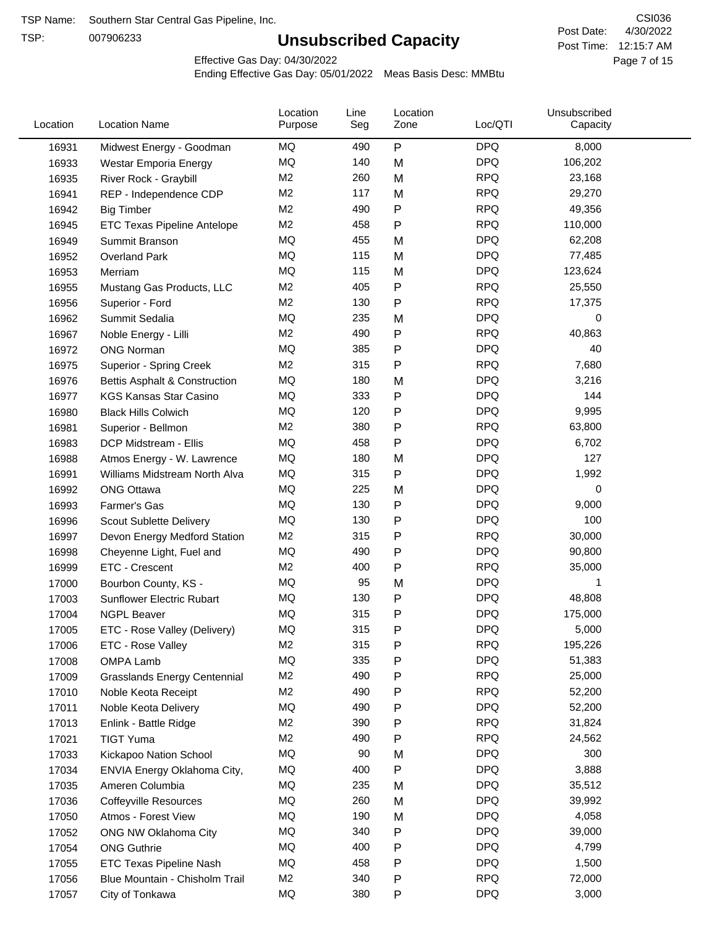TSP:

# **Unsubscribed Capacity**

4/30/2022 Page 7 of 15 Post Time: 12:15:7 AM CSI036 Post Date:

Effective Gas Day: 04/30/2022

| Location | <b>Location Name</b>                | Location<br>Purpose | Line<br>Seg | Location<br>Zone | Loc/QTI    | Unsubscribed<br>Capacity |  |
|----------|-------------------------------------|---------------------|-------------|------------------|------------|--------------------------|--|
| 16931    | Midwest Energy - Goodman            | ΜQ                  | 490         | P                | <b>DPQ</b> | 8,000                    |  |
| 16933    | Westar Emporia Energy               | MQ                  | 140         | M                | <b>DPQ</b> | 106,202                  |  |
| 16935    | River Rock - Graybill               | M <sub>2</sub>      | 260         | M                | <b>RPQ</b> | 23,168                   |  |
| 16941    | REP - Independence CDP              | M <sub>2</sub>      | 117         | M                | <b>RPQ</b> | 29,270                   |  |
| 16942    | <b>Big Timber</b>                   | M <sub>2</sub>      | 490         | P                | <b>RPQ</b> | 49,356                   |  |
| 16945    | <b>ETC Texas Pipeline Antelope</b>  | M <sub>2</sub>      | 458         | Ρ                | <b>RPQ</b> | 110,000                  |  |
| 16949    | Summit Branson                      | MQ                  | 455         | M                | <b>DPQ</b> | 62,208                   |  |
| 16952    | Overland Park                       | MQ                  | 115         | M                | <b>DPQ</b> | 77,485                   |  |
| 16953    | Merriam                             | MQ                  | 115         | M                | <b>DPQ</b> | 123,624                  |  |
| 16955    | Mustang Gas Products, LLC           | M <sub>2</sub>      | 405         | P                | <b>RPQ</b> | 25,550                   |  |
| 16956    | Superior - Ford                     | M <sub>2</sub>      | 130         | P                | <b>RPQ</b> | 17,375                   |  |
| 16962    | Summit Sedalia                      | <b>MQ</b>           | 235         | M                | <b>DPQ</b> | 0                        |  |
| 16967    | Noble Energy - Lilli                | M <sub>2</sub>      | 490         | P                | <b>RPQ</b> | 40,863                   |  |
| 16972    | <b>ONG Norman</b>                   | MQ                  | 385         | P                | <b>DPQ</b> | 40                       |  |
| 16975    | Superior - Spring Creek             | M <sub>2</sub>      | 315         | P                | <b>RPQ</b> | 7,680                    |  |
| 16976    | Bettis Asphalt & Construction       | MQ                  | 180         | M                | <b>DPQ</b> | 3,216                    |  |
| 16977    | <b>KGS Kansas Star Casino</b>       | MQ                  | 333         | P                | <b>DPQ</b> | 144                      |  |
| 16980    | <b>Black Hills Colwich</b>          | MQ                  | 120         | Ρ                | <b>DPQ</b> | 9,995                    |  |
| 16981    | Superior - Bellmon                  | M <sub>2</sub>      | 380         | Ρ                | <b>RPQ</b> | 63,800                   |  |
| 16983    | DCP Midstream - Ellis               | MQ                  | 458         | P                | <b>DPQ</b> | 6,702                    |  |
| 16988    | Atmos Energy - W. Lawrence          | MQ                  | 180         | M                | <b>DPQ</b> | 127                      |  |
| 16991    | Williams Midstream North Alva       | MQ                  | 315         | P                | <b>DPQ</b> | 1,992                    |  |
| 16992    | <b>ONG Ottawa</b>                   | MQ                  | 225         | M                | <b>DPQ</b> | 0                        |  |
| 16993    | Farmer's Gas                        | MQ                  | 130         | Ρ                | <b>DPQ</b> | 9,000                    |  |
| 16996    | Scout Sublette Delivery             | MQ                  | 130         | Ρ                | <b>DPQ</b> | 100                      |  |
| 16997    | Devon Energy Medford Station        | M <sub>2</sub>      | 315         | Ρ                | <b>RPQ</b> | 30,000                   |  |
| 16998    | Cheyenne Light, Fuel and            | MQ                  | 490         | Ρ                | <b>DPQ</b> | 90,800                   |  |
| 16999    | ETC - Crescent                      | M <sub>2</sub>      | 400         | P                | <b>RPQ</b> | 35,000                   |  |
| 17000    | Bourbon County, KS -                | MQ                  | 95          | M                | <b>DPQ</b> | 1                        |  |
| 17003    | Sunflower Electric Rubart           | MQ                  | 130         | P                | <b>DPQ</b> | 48,808                   |  |
| 17004    | <b>NGPL Beaver</b>                  | MQ                  | 315         | Ρ                | <b>DPQ</b> | 175,000                  |  |
| 17005    | ETC - Rose Valley (Delivery)        | MQ                  | 315         | P                | <b>DPQ</b> | 5,000                    |  |
| 17006    | ETC - Rose Valley                   | M <sub>2</sub>      | 315         | Ρ                | <b>RPQ</b> | 195,226                  |  |
| 17008    | <b>OMPA Lamb</b>                    | MQ                  | 335         | Ρ                | <b>DPQ</b> | 51,383                   |  |
| 17009    | <b>Grasslands Energy Centennial</b> | M <sub>2</sub>      | 490         | Ρ                | <b>RPQ</b> | 25,000                   |  |
| 17010    | Noble Keota Receipt                 | M <sub>2</sub>      | 490         | P                | <b>RPQ</b> | 52,200                   |  |
| 17011    | Noble Keota Delivery                | MQ                  | 490         | Ρ                | <b>DPQ</b> | 52,200                   |  |
| 17013    | Enlink - Battle Ridge               | M <sub>2</sub>      | 390         | P                | <b>RPQ</b> | 31,824                   |  |
| 17021    | <b>TIGT Yuma</b>                    | M <sub>2</sub>      | 490         | Ρ                | <b>RPQ</b> | 24,562                   |  |
| 17033    | Kickapoo Nation School              | MQ                  | 90          | M                | <b>DPQ</b> | 300                      |  |
| 17034    | ENVIA Energy Oklahoma City,         | MQ                  | 400         | P                | <b>DPQ</b> | 3,888                    |  |
| 17035    | Ameren Columbia                     | MQ                  | 235         | M                | <b>DPQ</b> | 35,512                   |  |
| 17036    | <b>Coffeyville Resources</b>        | MQ                  | 260         | M                | <b>DPQ</b> | 39,992                   |  |
| 17050    | Atmos - Forest View                 | MQ                  | 190         | M                | <b>DPQ</b> | 4,058                    |  |
| 17052    | ONG NW Oklahoma City                | MQ                  | 340         | Ρ                | <b>DPQ</b> | 39,000                   |  |
| 17054    | <b>ONG Guthrie</b>                  | MQ                  | 400         | Ρ                | <b>DPQ</b> | 4,799                    |  |
| 17055    | ETC Texas Pipeline Nash             | MQ                  | 458         | Ρ                | <b>DPQ</b> | 1,500                    |  |
| 17056    | Blue Mountain - Chisholm Trail      | M <sub>2</sub>      | 340         | P                | <b>RPQ</b> | 72,000                   |  |
|          |                                     | $\sf{MQ}$           | 380         | P                | <b>DPQ</b> | 3,000                    |  |
| 17057    | City of Tonkawa                     |                     |             |                  |            |                          |  |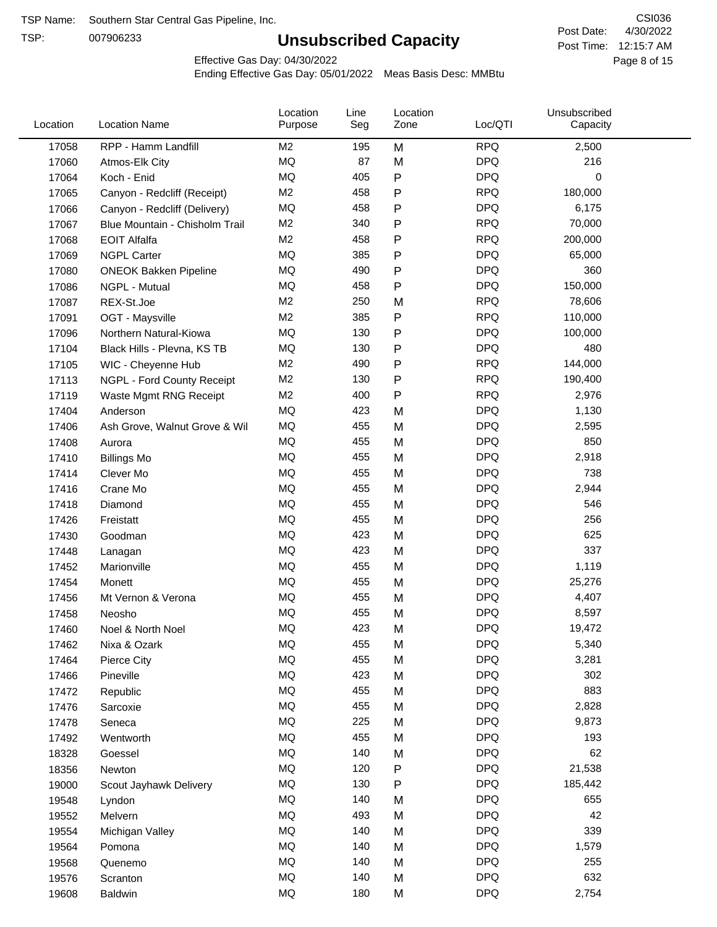TSP:

# **Unsubscribed Capacity**

4/30/2022 Page 8 of 15 Post Time: 12:15:7 AM CSI036 Post Date:

Effective Gas Day: 04/30/2022

| Location | <b>Location Name</b>           | Location<br>Purpose | Line<br>Seg | Location<br>Zone | Loc/QTI    | Unsubscribed<br>Capacity |  |
|----------|--------------------------------|---------------------|-------------|------------------|------------|--------------------------|--|
| 17058    | RPP - Hamm Landfill            | M2                  | 195         | M                | <b>RPQ</b> | 2,500                    |  |
| 17060    | Atmos-Elk City                 | MQ                  | 87          | M                | <b>DPQ</b> | 216                      |  |
| 17064    | Koch - Enid                    | MQ                  | 405         | P                | <b>DPQ</b> | $\mathbf 0$              |  |
| 17065    | Canyon - Redcliff (Receipt)    | M <sub>2</sub>      | 458         | P                | <b>RPQ</b> | 180,000                  |  |
| 17066    | Canyon - Redcliff (Delivery)   | <b>MQ</b>           | 458         | P                | <b>DPQ</b> | 6,175                    |  |
| 17067    | Blue Mountain - Chisholm Trail | M <sub>2</sub>      | 340         | P                | <b>RPQ</b> | 70,000                   |  |
| 17068    | <b>EOIT Alfalfa</b>            | M <sub>2</sub>      | 458         | P                | <b>RPQ</b> | 200,000                  |  |
| 17069    | <b>NGPL Carter</b>             | <b>MQ</b>           | 385         | P                | <b>DPQ</b> | 65,000                   |  |
| 17080    | <b>ONEOK Bakken Pipeline</b>   | MQ                  | 490         | $\mathsf{P}$     | <b>DPQ</b> | 360                      |  |
| 17086    | NGPL - Mutual                  | <b>MQ</b>           | 458         | $\mathsf{P}$     | <b>DPQ</b> | 150,000                  |  |
| 17087    | REX-St.Joe                     | M2                  | 250         | M                | <b>RPQ</b> | 78,606                   |  |
| 17091    | OGT - Maysville                | M <sub>2</sub>      | 385         | P                | <b>RPQ</b> | 110,000                  |  |
| 17096    | Northern Natural-Kiowa         | <b>MQ</b>           | 130         | P                | <b>DPQ</b> | 100,000                  |  |
| 17104    | Black Hills - Plevna, KS TB    | <b>MQ</b>           | 130         | P                | <b>DPQ</b> | 480                      |  |
| 17105    | WIC - Cheyenne Hub             | M <sub>2</sub>      | 490         | P                | <b>RPQ</b> | 144,000                  |  |
| 17113    | NGPL - Ford County Receipt     | M <sub>2</sub>      | 130         | P                | <b>RPQ</b> | 190,400                  |  |
| 17119    | Waste Mgmt RNG Receipt         | M <sub>2</sub>      | 400         | P                | <b>RPQ</b> | 2,976                    |  |
| 17404    | Anderson                       | MQ                  | 423         | M                | <b>DPQ</b> | 1,130                    |  |
| 17406    | Ash Grove, Walnut Grove & Wil  | <b>MQ</b>           | 455         | M                | <b>DPQ</b> | 2,595                    |  |
| 17408    | Aurora                         | <b>MQ</b>           | 455         | M                | <b>DPQ</b> | 850                      |  |
| 17410    | <b>Billings Mo</b>             | <b>MQ</b>           | 455         | M                | <b>DPQ</b> | 2,918                    |  |
| 17414    | Clever Mo                      | <b>MQ</b>           | 455         | M                | <b>DPQ</b> | 738                      |  |
| 17416    | Crane Mo                       | <b>MQ</b>           | 455         | M                | <b>DPQ</b> | 2,944                    |  |
| 17418    | Diamond                        | <b>MQ</b>           | 455         | M                | <b>DPQ</b> | 546                      |  |
| 17426    | Freistatt                      | <b>MQ</b>           | 455         | M                | <b>DPQ</b> | 256                      |  |
| 17430    | Goodman                        | <b>MQ</b>           | 423         | M                | <b>DPQ</b> | 625                      |  |
| 17448    | Lanagan                        | <b>MQ</b>           | 423         | M                | <b>DPQ</b> | 337                      |  |
| 17452    | Marionville                    | <b>MQ</b>           | 455         | M                | <b>DPQ</b> | 1,119                    |  |
| 17454    | Monett                         | <b>MQ</b>           | 455         | M                | <b>DPQ</b> | 25,276                   |  |
| 17456    | Mt Vernon & Verona             | <b>MQ</b>           | 455         | M                | <b>DPQ</b> | 4,407                    |  |
| 17458    | Neosho                         | <b>MQ</b>           | 455         | M                | <b>DPQ</b> | 8,597                    |  |
| 17460    | Noel & North Noel              | MQ                  | 423         | M                | <b>DPQ</b> | 19,472                   |  |
| 17462    | Nixa & Ozark                   | MQ                  | 455         | M                | <b>DPQ</b> | 5,340                    |  |
| 17464    | Pierce City                    | $\sf{MQ}$           | 455         | M                | <b>DPQ</b> | 3,281                    |  |
| 17466    | Pineville                      | MQ                  | 423         | M                | <b>DPQ</b> | 302                      |  |
| 17472    | Republic                       | MQ                  | 455         | M                | <b>DPQ</b> | 883                      |  |
| 17476    | Sarcoxie                       | MQ                  | 455         | M                | <b>DPQ</b> | 2,828                    |  |
| 17478    | Seneca                         | MQ                  | 225         | M                | <b>DPQ</b> | 9,873                    |  |
| 17492    | Wentworth                      | <b>MQ</b>           | 455         | M                | <b>DPQ</b> | 193                      |  |
| 18328    | Goessel                        | <b>MQ</b>           | 140         | M                | <b>DPQ</b> | 62                       |  |
| 18356    | Newton                         | MQ                  | 120         | P                | <b>DPQ</b> | 21,538                   |  |
| 19000    | Scout Jayhawk Delivery         | MQ                  | 130         | P                | <b>DPQ</b> | 185,442                  |  |
| 19548    | Lyndon                         | MQ                  | 140         | M                | <b>DPQ</b> | 655                      |  |
| 19552    | Melvern                        | MQ                  | 493         | M                | <b>DPQ</b> | 42                       |  |
| 19554    | Michigan Valley                | MQ                  | 140         | M                | <b>DPQ</b> | 339                      |  |
| 19564    | Pomona                         | MQ                  | 140         | M                | <b>DPQ</b> | 1,579                    |  |
| 19568    | Quenemo                        | <b>MQ</b>           | 140         | M                | <b>DPQ</b> | 255                      |  |
| 19576    | Scranton                       | MQ                  | 140         | M                | <b>DPQ</b> | 632                      |  |
| 19608    | Baldwin                        | $\sf{MQ}$           | 180         | M                | <b>DPQ</b> | 2,754                    |  |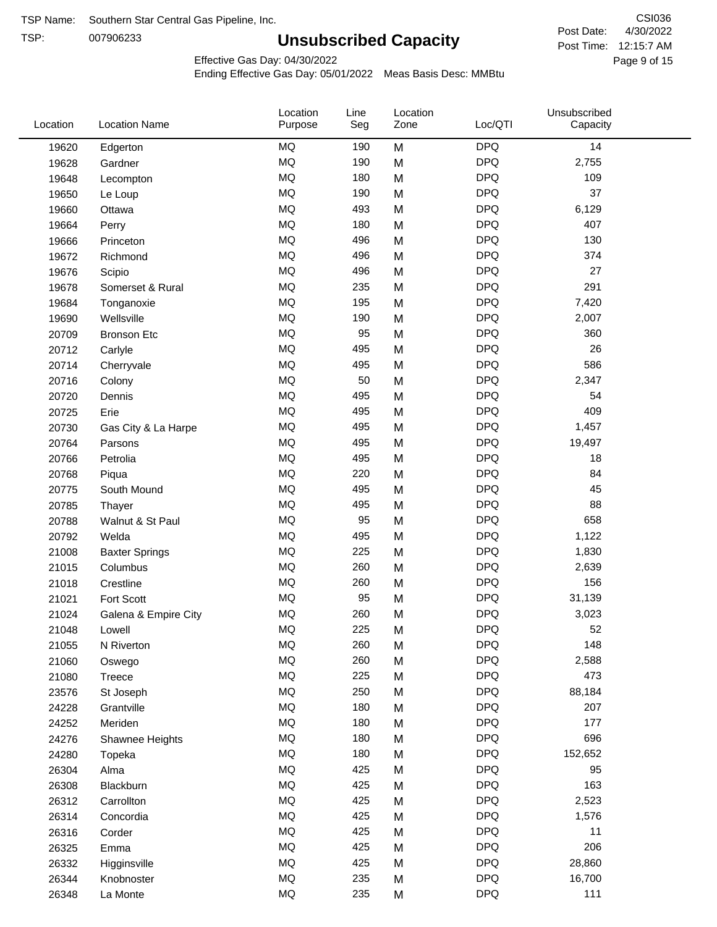TSP:

# **Unsubscribed Capacity**

4/30/2022 Page 9 of 15 Post Time: 12:15:7 AM CSI036 Post Date:

Effective Gas Day: 04/30/2022

| Location | <b>Location Name</b>  | Location<br>Purpose | Line<br>Seg | Location<br>Zone | Loc/QTI    | Unsubscribed<br>Capacity |  |
|----------|-----------------------|---------------------|-------------|------------------|------------|--------------------------|--|
| 19620    | Edgerton              | <b>MQ</b>           | 190         | M                | <b>DPQ</b> | 14                       |  |
| 19628    | Gardner               | MQ                  | 190         | M                | <b>DPQ</b> | 2,755                    |  |
| 19648    | Lecompton             | <b>MQ</b>           | 180         | M                | <b>DPQ</b> | 109                      |  |
| 19650    | Le Loup               | <b>MQ</b>           | 190         | M                | <b>DPQ</b> | 37                       |  |
| 19660    | Ottawa                | <b>MQ</b>           | 493         | M                | <b>DPQ</b> | 6,129                    |  |
| 19664    | Perry                 | <b>MQ</b>           | 180         | M                | <b>DPQ</b> | 407                      |  |
| 19666    | Princeton             | <b>MQ</b>           | 496         | M                | <b>DPQ</b> | 130                      |  |
| 19672    | Richmond              | MQ                  | 496         | M                | <b>DPQ</b> | 374                      |  |
| 19676    | Scipio                | <b>MQ</b>           | 496         | M                | <b>DPQ</b> | 27                       |  |
| 19678    | Somerset & Rural      | <b>MQ</b>           | 235         | M                | <b>DPQ</b> | 291                      |  |
| 19684    | Tonganoxie            | MQ                  | 195         | M                | <b>DPQ</b> | 7,420                    |  |
| 19690    | Wellsville            | <b>MQ</b>           | 190         | M                | <b>DPQ</b> | 2,007                    |  |
| 20709    | <b>Bronson Etc</b>    | <b>MQ</b>           | 95          | M                | <b>DPQ</b> | 360                      |  |
| 20712    | Carlyle               | <b>MQ</b>           | 495         | M                | <b>DPQ</b> | 26                       |  |
| 20714    | Cherryvale            | <b>MQ</b>           | 495         | M                | <b>DPQ</b> | 586                      |  |
| 20716    | Colony                | <b>MQ</b>           | 50          | M                | <b>DPQ</b> | 2,347                    |  |
| 20720    | Dennis                | <b>MQ</b>           | 495         | M                | <b>DPQ</b> | 54                       |  |
| 20725    | Erie                  | <b>MQ</b>           | 495         | M                | <b>DPQ</b> | 409                      |  |
| 20730    | Gas City & La Harpe   | <b>MQ</b>           | 495         | M                | <b>DPQ</b> | 1,457                    |  |
| 20764    | Parsons               | <b>MQ</b>           | 495         | M                | <b>DPQ</b> | 19,497                   |  |
| 20766    | Petrolia              | <b>MQ</b>           | 495         | M                | <b>DPQ</b> | 18                       |  |
| 20768    | Piqua                 | <b>MQ</b>           | 220         | M                | <b>DPQ</b> | 84                       |  |
| 20775    | South Mound           | <b>MQ</b>           | 495         | M                | <b>DPQ</b> | 45                       |  |
| 20785    | Thayer                | <b>MQ</b>           | 495         | M                | <b>DPQ</b> | 88                       |  |
| 20788    | Walnut & St Paul      | <b>MQ</b>           | 95          | M                | <b>DPQ</b> | 658                      |  |
| 20792    | Welda                 | <b>MQ</b>           | 495         | M                | <b>DPQ</b> | 1,122                    |  |
| 21008    | <b>Baxter Springs</b> | <b>MQ</b>           | 225         | M                | <b>DPQ</b> | 1,830                    |  |
| 21015    | Columbus              | <b>MQ</b>           | 260         | M                | <b>DPQ</b> | 2,639                    |  |
| 21018    | Crestline             | <b>MQ</b>           | 260         | M                | <b>DPQ</b> | 156                      |  |
| 21021    | Fort Scott            | <b>MQ</b>           | 95          | M                | <b>DPQ</b> | 31,139                   |  |
| 21024    | Galena & Empire City  | <b>MQ</b>           | 260         | M                | <b>DPQ</b> | 3,023                    |  |
| 21048    | Lowell                | MQ                  | 225         | M                | <b>DPQ</b> | 52                       |  |
| 21055    | N Riverton            | MQ                  | 260         | M                | <b>DPQ</b> | 148                      |  |
| 21060    | Oswego                | $\sf{MQ}$           | 260         | M                | <b>DPQ</b> | 2,588                    |  |
| 21080    | <b>Treece</b>         | <b>MQ</b>           | 225         | M                | <b>DPQ</b> | 473                      |  |
| 23576    | St Joseph             | MQ                  | 250         | M                | <b>DPQ</b> | 88,184                   |  |
| 24228    | Grantville            | MQ                  | 180         | M                | <b>DPQ</b> | 207                      |  |
| 24252    | Meriden               | MQ                  | 180         | M                | <b>DPQ</b> | 177                      |  |
| 24276    | Shawnee Heights       | $\sf{MQ}$           | 180         | M                | <b>DPQ</b> | 696                      |  |
| 24280    | Topeka                | $\sf{MQ}$           | 180         | M                | <b>DPQ</b> | 152,652                  |  |
| 26304    | Alma                  | MQ                  | 425         | M                | <b>DPQ</b> | 95                       |  |
| 26308    | Blackburn             | MQ                  | 425         | M                | <b>DPQ</b> | 163                      |  |
| 26312    | Carrollton            | MQ                  | 425         | M                | <b>DPQ</b> | 2,523                    |  |
| 26314    | Concordia             | MQ                  | 425         | M                | <b>DPQ</b> | 1,576                    |  |
| 26316    | Corder                | MQ                  | 425         | M                | <b>DPQ</b> | 11                       |  |
| 26325    | Emma                  | MQ                  | 425         | M                | <b>DPQ</b> | 206                      |  |
| 26332    | Higginsville          | MQ                  | 425         | M                | <b>DPQ</b> | 28,860                   |  |
| 26344    | Knobnoster            | $\sf{MQ}$           | 235         | M                | <b>DPQ</b> | 16,700                   |  |
| 26348    | La Monte              | $\sf{MQ}$           | 235         | M                | <b>DPQ</b> | 111                      |  |
|          |                       |                     |             |                  |            |                          |  |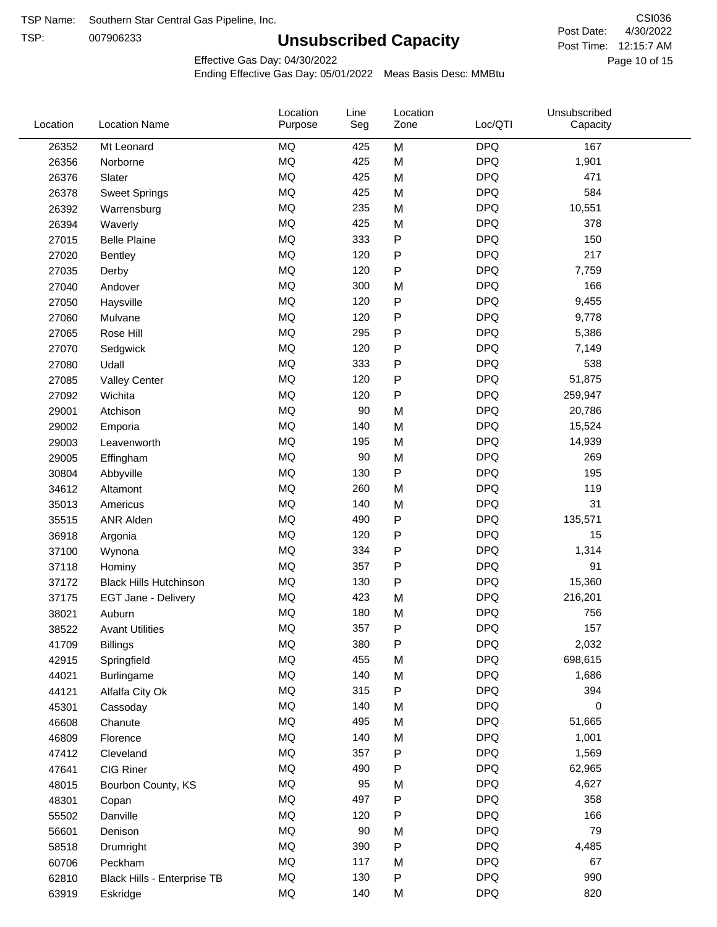TSP:

# **Unsubscribed Capacity**

4/30/2022 Page 10 of 15 Post Time: 12:15:7 AM CSI036 Post Date:

Effective Gas Day: 04/30/2022

| Location | <b>Location Name</b>          | Location<br>Purpose | Line<br>Seg | Location<br>Zone | Loc/QTI    | Unsubscribed<br>Capacity |  |
|----------|-------------------------------|---------------------|-------------|------------------|------------|--------------------------|--|
| 26352    | Mt Leonard                    | <b>MQ</b>           | 425         | M                | <b>DPQ</b> | 167                      |  |
| 26356    | Norborne                      | MQ                  | 425         | M                | <b>DPQ</b> | 1,901                    |  |
| 26376    | Slater                        | <b>MQ</b>           | 425         | M                | <b>DPQ</b> | 471                      |  |
| 26378    | <b>Sweet Springs</b>          | <b>MQ</b>           | 425         | M                | <b>DPQ</b> | 584                      |  |
| 26392    | Warrensburg                   | <b>MQ</b>           | 235         | M                | <b>DPQ</b> | 10,551                   |  |
| 26394    | Waverly                       | <b>MQ</b>           | 425         | M                | <b>DPQ</b> | 378                      |  |
| 27015    | <b>Belle Plaine</b>           | MQ                  | 333         | P                | <b>DPQ</b> | 150                      |  |
| 27020    | Bentley                       | <b>MQ</b>           | 120         | P                | <b>DPQ</b> | 217                      |  |
| 27035    | Derby                         | MQ                  | 120         | P                | <b>DPQ</b> | 7,759                    |  |
| 27040    | Andover                       | <b>MQ</b>           | 300         | M                | <b>DPQ</b> | 166                      |  |
| 27050    | Haysville                     | <b>MQ</b>           | 120         | P                | <b>DPQ</b> | 9,455                    |  |
| 27060    | Mulvane                       | <b>MQ</b>           | 120         | P                | <b>DPQ</b> | 9,778                    |  |
| 27065    | Rose Hill                     | <b>MQ</b>           | 295         | P                | <b>DPQ</b> | 5,386                    |  |
| 27070    | Sedgwick                      | <b>MQ</b>           | 120         | Ρ                | <b>DPQ</b> | 7,149                    |  |
| 27080    | Udall                         | <b>MQ</b>           | 333         | P                | <b>DPQ</b> | 538                      |  |
| 27085    | <b>Valley Center</b>          | <b>MQ</b>           | 120         | P                | <b>DPQ</b> | 51,875                   |  |
| 27092    | Wichita                       | <b>MQ</b>           | 120         | P                | <b>DPQ</b> | 259,947                  |  |
| 29001    | Atchison                      | MQ                  | 90          | M                | <b>DPQ</b> | 20,786                   |  |
| 29002    | Emporia                       | <b>MQ</b>           | 140         | M                | <b>DPQ</b> | 15,524                   |  |
| 29003    | Leavenworth                   | <b>MQ</b>           | 195         | M                | <b>DPQ</b> | 14,939                   |  |
| 29005    | Effingham                     | MQ                  | 90          | M                | <b>DPQ</b> | 269                      |  |
| 30804    | Abbyville                     | MQ                  | 130         | P                | <b>DPQ</b> | 195                      |  |
| 34612    | Altamont                      | <b>MQ</b>           | 260         | M                | <b>DPQ</b> | 119                      |  |
| 35013    | Americus                      | <b>MQ</b>           | 140         | M                | <b>DPQ</b> | 31                       |  |
| 35515    | ANR Alden                     | MQ                  | 490         | P                | <b>DPQ</b> | 135,571                  |  |
| 36918    | Argonia                       | MQ                  | 120         | P                | <b>DPQ</b> | 15                       |  |
| 37100    | Wynona                        | MQ                  | 334         | P                | <b>DPQ</b> | 1,314                    |  |
| 37118    | Hominy                        | MQ                  | 357         | Ρ                | <b>DPQ</b> | 91                       |  |
| 37172    | <b>Black Hills Hutchinson</b> | MQ                  | 130         | P                | <b>DPQ</b> | 15,360                   |  |
| 37175    | EGT Jane - Delivery           | MQ                  | 423         | M                | <b>DPQ</b> | 216,201                  |  |
| 38021    | Auburn                        | MQ                  | 180         | M                | <b>DPQ</b> | 756                      |  |
| 38522    | <b>Avant Utilities</b>        | MQ                  | 357         | P                | <b>DPQ</b> | 157                      |  |
| 41709    | <b>Billings</b>               | MQ                  | 380         | P                | <b>DPQ</b> | 2,032                    |  |
| 42915    | Springfield                   | $\sf{MQ}$           | 455         | M                | <b>DPQ</b> | 698,615                  |  |
| 44021    | Burlingame                    | $\sf{MQ}$           | 140         | M                | <b>DPQ</b> | 1,686                    |  |
| 44121    | Alfalfa City Ok               | $\sf{MQ}$           | 315         | P                | <b>DPQ</b> | 394                      |  |
| 45301    | Cassoday                      | MQ                  | 140         | M                | <b>DPQ</b> | 0                        |  |
| 46608    | Chanute                       | MQ                  | 495         | M                | <b>DPQ</b> | 51,665                   |  |
| 46809    | Florence                      | MQ                  | 140         | M                | <b>DPQ</b> | 1,001                    |  |
| 47412    | Cleveland                     | $\sf{MQ}$           | 357         | Ρ                | <b>DPQ</b> | 1,569                    |  |
| 47641    | CIG Riner                     | $\sf{MQ}$           | 490         | Ρ                | <b>DPQ</b> | 62,965                   |  |
| 48015    | Bourbon County, KS            | MQ                  | 95          | M                | <b>DPQ</b> | 4,627                    |  |
| 48301    | Copan                         | $\sf{MQ}$           | 497         | ${\sf P}$        | <b>DPQ</b> | 358                      |  |
| 55502    | Danville                      | $\sf{MQ}$           | 120         | P                | <b>DPQ</b> | 166                      |  |
| 56601    | Denison                       | $\sf{MQ}$           | 90          | M                | <b>DPQ</b> | 79                       |  |
| 58518    | Drumright                     | MQ                  | 390         | P                | <b>DPQ</b> | 4,485                    |  |
| 60706    | Peckham                       | MQ                  | 117         | M                | <b>DPQ</b> | 67                       |  |
| 62810    | Black Hills - Enterprise TB   | MQ                  | 130         | P                | <b>DPQ</b> | 990                      |  |
| 63919    | Eskridge                      | $\sf{MQ}$           | 140         | M                | <b>DPQ</b> | 820                      |  |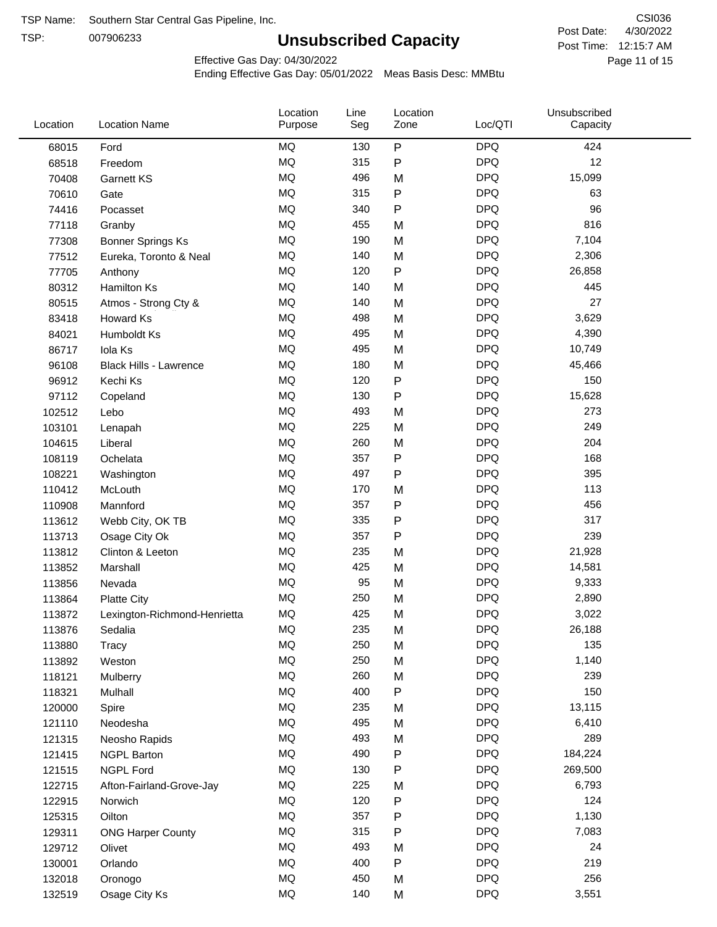TSP:

# **Unsubscribed Capacity**

4/30/2022 Page 11 of 15 Post Time: 12:15:7 AM CSI036 Post Date:

Effective Gas Day: 04/30/2022

| Location | <b>Location Name</b>          | Location<br>Purpose | Line<br>Seg | Location<br>Zone | Loc/QTI    | Unsubscribed<br>Capacity |  |
|----------|-------------------------------|---------------------|-------------|------------------|------------|--------------------------|--|
| 68015    | Ford                          | <b>MQ</b>           | 130         | $\mathsf{P}$     | <b>DPQ</b> | 424                      |  |
| 68518    | Freedom                       | <b>MQ</b>           | 315         | $\mathsf{P}$     | <b>DPQ</b> | 12                       |  |
| 70408    | <b>Garnett KS</b>             | <b>MQ</b>           | 496         | M                | <b>DPQ</b> | 15,099                   |  |
| 70610    | Gate                          | <b>MQ</b>           | 315         | P                | <b>DPQ</b> | 63                       |  |
| 74416    | Pocasset                      | <b>MQ</b>           | 340         | P                | <b>DPQ</b> | 96                       |  |
| 77118    | Granby                        | <b>MQ</b>           | 455         | M                | <b>DPQ</b> | 816                      |  |
| 77308    | <b>Bonner Springs Ks</b>      | MQ                  | 190         | M                | <b>DPQ</b> | 7,104                    |  |
| 77512    | Eureka, Toronto & Neal        | MQ                  | 140         | M                | <b>DPQ</b> | 2,306                    |  |
| 77705    | Anthony                       | <b>MQ</b>           | 120         | ${\sf P}$        | <b>DPQ</b> | 26,858                   |  |
| 80312    | <b>Hamilton Ks</b>            | <b>MQ</b>           | 140         | M                | <b>DPQ</b> | 445                      |  |
| 80515    | Atmos - Strong Cty &          | MQ                  | 140         | M                | <b>DPQ</b> | 27                       |  |
| 83418    | Howard Ks                     | <b>MQ</b>           | 498         | M                | <b>DPQ</b> | 3,629                    |  |
| 84021    | Humboldt Ks                   | MQ                  | 495         | M                | <b>DPQ</b> | 4,390                    |  |
| 86717    | Iola Ks                       | <b>MQ</b>           | 495         | M                | <b>DPQ</b> | 10,749                   |  |
| 96108    | <b>Black Hills - Lawrence</b> | MQ                  | 180         | M                | <b>DPQ</b> | 45,466                   |  |
| 96912    | Kechi Ks                      | MQ                  | 120         | P                | <b>DPQ</b> | 150                      |  |
| 97112    | Copeland                      | <b>MQ</b>           | 130         | P                | <b>DPQ</b> | 15,628                   |  |
| 102512   | Lebo                          | <b>MQ</b>           | 493         | M                | <b>DPQ</b> | 273                      |  |
| 103101   | Lenapah                       | <b>MQ</b>           | 225         | M                | <b>DPQ</b> | 249                      |  |
| 104615   | Liberal                       | <b>MQ</b>           | 260         | M                | <b>DPQ</b> | 204                      |  |
| 108119   | Ochelata                      | <b>MQ</b>           | 357         | ${\sf P}$        | <b>DPQ</b> | 168                      |  |
| 108221   | Washington                    | <b>MQ</b>           | 497         | P                | <b>DPQ</b> | 395                      |  |
| 110412   | McLouth                       | <b>MQ</b>           | 170         | M                | <b>DPQ</b> | 113                      |  |
| 110908   | Mannford                      | <b>MQ</b>           | 357         | $\mathsf{P}$     | <b>DPQ</b> | 456                      |  |
| 113612   | Webb City, OK TB              | MQ                  | 335         | P                | <b>DPQ</b> | 317                      |  |
| 113713   | Osage City Ok                 | MQ                  | 357         | P                | <b>DPQ</b> | 239                      |  |
| 113812   | Clinton & Leeton              | <b>MQ</b>           | 235         | M                | <b>DPQ</b> | 21,928                   |  |
| 113852   | Marshall                      | <b>MQ</b>           | 425         | M                | <b>DPQ</b> | 14,581                   |  |
| 113856   | Nevada                        | <b>MQ</b>           | 95          | M                | <b>DPQ</b> | 9,333                    |  |
| 113864   | <b>Platte City</b>            | MQ                  | 250         | M                | <b>DPQ</b> | 2,890                    |  |
| 113872   | Lexington-Richmond-Henrietta  | MQ                  | 425         | M                | <b>DPQ</b> | 3,022                    |  |
| 113876   | Sedalia                       | MQ                  | 235         | M                | <b>DPQ</b> | 26,188                   |  |
| 113880   | Tracy                         | MQ                  | 250         | M                | <b>DPQ</b> | 135                      |  |
| 113892   | Weston                        | MQ                  | 250         | M                | <b>DPQ</b> | 1,140                    |  |
| 118121   | Mulberry                      | MQ                  | 260         | M                | <b>DPQ</b> | 239                      |  |
| 118321   | Mulhall                       | MQ                  | 400         | P                | <b>DPQ</b> | 150                      |  |
| 120000   | Spire                         | MQ                  | 235         | M                | <b>DPQ</b> | 13,115                   |  |
| 121110   | Neodesha                      | MQ                  | 495         | M                | <b>DPQ</b> | 6,410                    |  |
| 121315   | Neosho Rapids                 | <b>MQ</b>           | 493         | M                | <b>DPQ</b> | 289                      |  |
| 121415   | <b>NGPL Barton</b>            | MQ                  | 490         | P                | <b>DPQ</b> | 184,224                  |  |
| 121515   | <b>NGPL Ford</b>              | MQ                  | 130         | P                | <b>DPQ</b> | 269,500                  |  |
| 122715   | Afton-Fairland-Grove-Jay      | MQ                  | 225         | M                | <b>DPQ</b> | 6,793                    |  |
| 122915   | Norwich                       | MQ                  | 120         | P                | <b>DPQ</b> | 124                      |  |
| 125315   | Oilton                        | MQ                  | 357         | ${\sf P}$        | <b>DPQ</b> | 1,130                    |  |
| 129311   | <b>ONG Harper County</b>      | MQ                  | 315         | P                | <b>DPQ</b> | 7,083                    |  |
| 129712   | Olivet                        | MQ                  | 493         | M                | <b>DPQ</b> | 24                       |  |
| 130001   | Orlando                       | MQ                  | 400         | ${\sf P}$        | <b>DPQ</b> | 219                      |  |
| 132018   | Oronogo                       | <b>MQ</b>           | 450         | M                | <b>DPQ</b> | 256                      |  |
| 132519   | Osage City Ks                 | <b>MQ</b>           | 140         | M                | <b>DPQ</b> | 3,551                    |  |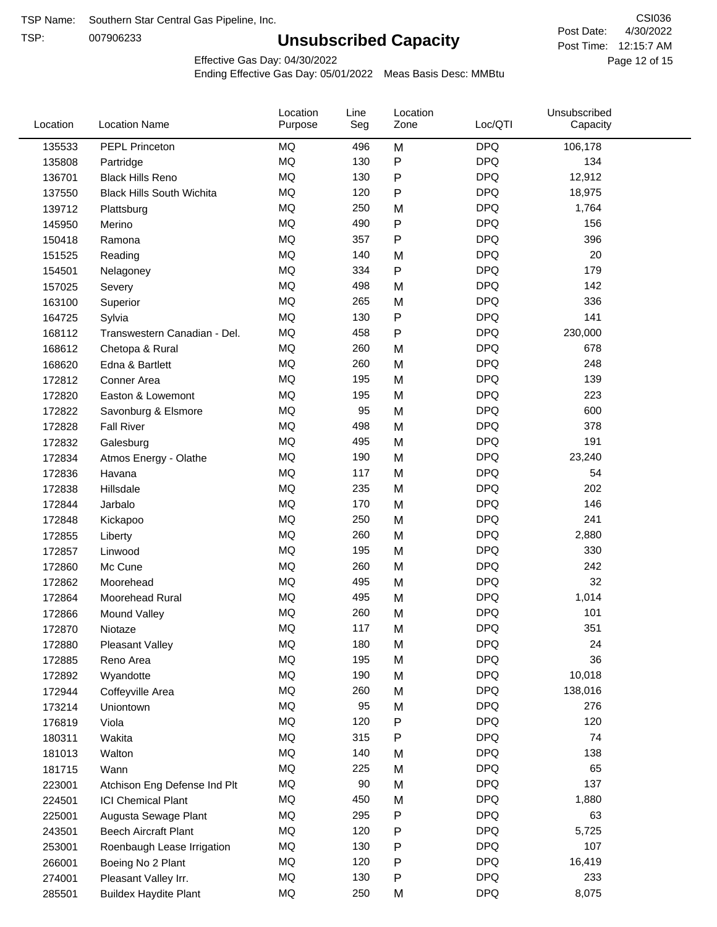TSP:

# **Unsubscribed Capacity**

4/30/2022 Page 12 of 15 Post Time: 12:15:7 AM CSI036 Post Date:

Effective Gas Day: 04/30/2022

| Location | <b>Location Name</b>             | Location<br>Purpose | Line<br>Seg | Location<br>Zone | Loc/QTI    | Unsubscribed<br>Capacity |  |
|----------|----------------------------------|---------------------|-------------|------------------|------------|--------------------------|--|
| 135533   | PEPL Princeton                   | MQ                  | 496         | M                | <b>DPQ</b> | 106,178                  |  |
| 135808   | Partridge                        | MQ                  | 130         | P                | <b>DPQ</b> | 134                      |  |
| 136701   | <b>Black Hills Reno</b>          | MQ                  | 130         | P                | <b>DPQ</b> | 12,912                   |  |
| 137550   | <b>Black Hills South Wichita</b> | MQ                  | 120         | Ρ                | <b>DPQ</b> | 18,975                   |  |
| 139712   | Plattsburg                       | MQ                  | 250         | M                | <b>DPQ</b> | 1,764                    |  |
| 145950   | Merino                           | MQ                  | 490         | P                | <b>DPQ</b> | 156                      |  |
| 150418   | Ramona                           | MQ                  | 357         | Ρ                | <b>DPQ</b> | 396                      |  |
| 151525   | Reading                          | MQ                  | 140         | M                | <b>DPQ</b> | 20                       |  |
| 154501   | Nelagoney                        | MQ                  | 334         | P                | <b>DPQ</b> | 179                      |  |
| 157025   | Severy                           | MQ                  | 498         | M                | <b>DPQ</b> | 142                      |  |
| 163100   | Superior                         | MQ                  | 265         | M                | <b>DPQ</b> | 336                      |  |
| 164725   | Sylvia                           | MQ                  | 130         | P                | <b>DPQ</b> | 141                      |  |
| 168112   | Transwestern Canadian - Del.     | MQ                  | 458         | P                | <b>DPQ</b> | 230,000                  |  |
| 168612   | Chetopa & Rural                  | MQ                  | 260         | M                | <b>DPQ</b> | 678                      |  |
| 168620   | Edna & Bartlett                  | MQ                  | 260         | M                | <b>DPQ</b> | 248                      |  |
| 172812   | Conner Area                      | MQ                  | 195         | M                | <b>DPQ</b> | 139                      |  |
| 172820   | Easton & Lowemont                | MQ                  | 195         | M                | <b>DPQ</b> | 223                      |  |
| 172822   | Savonburg & Elsmore              | MQ                  | 95          | M                | <b>DPQ</b> | 600                      |  |
| 172828   | <b>Fall River</b>                | MQ                  | 498         | M                | <b>DPQ</b> | 378                      |  |
| 172832   | Galesburg                        | MQ                  | 495         | M                | <b>DPQ</b> | 191                      |  |
| 172834   | Atmos Energy - Olathe            | MQ                  | 190         | M                | <b>DPQ</b> | 23,240                   |  |
| 172836   | Havana                           | MQ                  | 117         | M                | <b>DPQ</b> | 54                       |  |
| 172838   | Hillsdale                        | MQ                  | 235         | M                | <b>DPQ</b> | 202                      |  |
| 172844   | Jarbalo                          | MQ                  | 170         | M                | <b>DPQ</b> | 146                      |  |
| 172848   | Kickapoo                         | MQ                  | 250         | M                | <b>DPQ</b> | 241                      |  |
| 172855   | Liberty                          | MQ                  | 260         | M                | <b>DPQ</b> | 2,880                    |  |
| 172857   | Linwood                          | MQ                  | 195         | M                | <b>DPQ</b> | 330                      |  |
| 172860   | Mc Cune                          | MQ                  | 260         | M                | <b>DPQ</b> | 242                      |  |
| 172862   | Moorehead                        | MQ                  | 495         | M                | <b>DPQ</b> | 32                       |  |
| 172864   | Moorehead Rural                  | MQ                  | 495         | M                | <b>DPQ</b> | 1,014                    |  |
| 172866   | Mound Valley                     | MQ                  | 260         | M                | <b>DPQ</b> | 101                      |  |
| 172870   | Niotaze                          | MQ                  | 117         | M                | <b>DPQ</b> | 351                      |  |
| 172880   | <b>Pleasant Valley</b>           | MQ                  | 180         | M                | <b>DPQ</b> | 24                       |  |
| 172885   | Reno Area                        | $\sf{MQ}$           | 195         | M                | <b>DPQ</b> | 36                       |  |
| 172892   | Wyandotte                        | MQ                  | 190         | M                | <b>DPQ</b> | 10,018                   |  |
| 172944   | Coffeyville Area                 | MQ                  | 260         | M                | <b>DPQ</b> | 138,016                  |  |
| 173214   | Uniontown                        | MQ                  | 95          | M                | <b>DPQ</b> | 276                      |  |
| 176819   | Viola                            | MQ                  | 120         | P                | <b>DPQ</b> | 120                      |  |
| 180311   | Wakita                           | MQ                  | 315         | Ρ                | <b>DPQ</b> | 74                       |  |
| 181013   | Walton                           | MQ                  | 140         | M                | <b>DPQ</b> | 138                      |  |
| 181715   | Wann                             | MQ                  | 225         | M                | <b>DPQ</b> | 65                       |  |
| 223001   | Atchison Eng Defense Ind Plt     | MQ                  | 90          | M                | <b>DPQ</b> | 137                      |  |
| 224501   | <b>ICI Chemical Plant</b>        | MQ                  | 450         | M                | <b>DPQ</b> | 1,880                    |  |
| 225001   | Augusta Sewage Plant             | MQ                  | 295         | Ρ                | <b>DPQ</b> | 63                       |  |
| 243501   | <b>Beech Aircraft Plant</b>      | MQ                  | 120         | Ρ                | <b>DPQ</b> | 5,725                    |  |
| 253001   | Roenbaugh Lease Irrigation       | MQ                  | 130         | Ρ                | <b>DPQ</b> | 107                      |  |
| 266001   | Boeing No 2 Plant                | MQ                  | 120         | Ρ                | <b>DPQ</b> | 16,419                   |  |
| 274001   | Pleasant Valley Irr.             | MQ                  | 130         | Ρ                | <b>DPQ</b> | 233                      |  |
| 285501   | <b>Buildex Haydite Plant</b>     | MQ                  | 250         | M                | <b>DPQ</b> | 8,075                    |  |
|          |                                  |                     |             |                  |            |                          |  |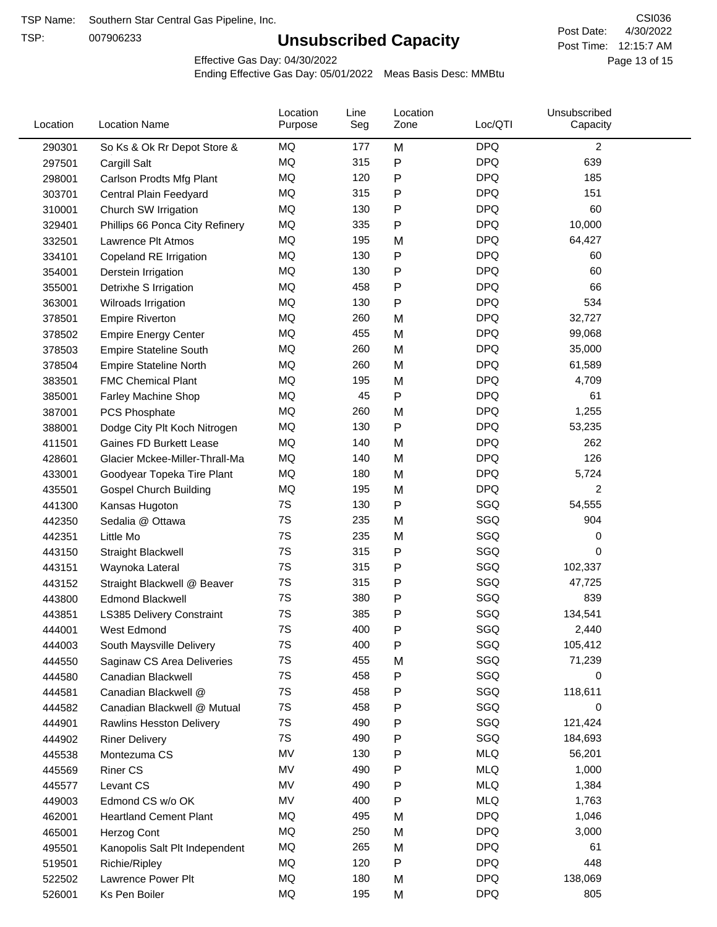TSP:

# **Unsubscribed Capacity**

4/30/2022 Page 13 of 15 Post Time: 12:15:7 AM CSI036 Post Date:

Effective Gas Day: 04/30/2022

| Location | <b>Location Name</b>            | Location<br>Purpose | Line<br>Seg | Location<br>Zone | Loc/QTI    | Unsubscribed<br>Capacity |  |
|----------|---------------------------------|---------------------|-------------|------------------|------------|--------------------------|--|
| 290301   | So Ks & Ok Rr Depot Store &     | MQ                  | 177         | M                | <b>DPQ</b> | $\overline{2}$           |  |
| 297501   | Cargill Salt                    | MQ                  | 315         | ${\sf P}$        | <b>DPQ</b> | 639                      |  |
| 298001   | Carlson Prodts Mfg Plant        | MQ                  | 120         | P                | <b>DPQ</b> | 185                      |  |
| 303701   | Central Plain Feedyard          | MQ                  | 315         | ${\sf P}$        | <b>DPQ</b> | 151                      |  |
| 310001   | Church SW Irrigation            | <b>MQ</b>           | 130         | P                | <b>DPQ</b> | 60                       |  |
| 329401   | Phillips 66 Ponca City Refinery | MQ                  | 335         | P                | <b>DPQ</b> | 10,000                   |  |
| 332501   | Lawrence Plt Atmos              | MQ                  | 195         | M                | <b>DPQ</b> | 64,427                   |  |
| 334101   | Copeland RE Irrigation          | MQ                  | 130         | P                | <b>DPQ</b> | 60                       |  |
| 354001   | Derstein Irrigation             | <b>MQ</b>           | 130         | P                | <b>DPQ</b> | 60                       |  |
| 355001   | Detrixhe S Irrigation           | MQ                  | 458         | P                | <b>DPQ</b> | 66                       |  |
| 363001   | Wilroads Irrigation             | MQ                  | 130         | $\mathsf{P}$     | <b>DPQ</b> | 534                      |  |
| 378501   | <b>Empire Riverton</b>          | MQ                  | 260         | M                | <b>DPQ</b> | 32,727                   |  |
| 378502   | <b>Empire Energy Center</b>     | <b>MQ</b>           | 455         | M                | <b>DPQ</b> | 99,068                   |  |
| 378503   | <b>Empire Stateline South</b>   | <b>MQ</b>           | 260         | M                | <b>DPQ</b> | 35,000                   |  |
| 378504   | <b>Empire Stateline North</b>   | MQ                  | 260         | M                | <b>DPQ</b> | 61,589                   |  |
| 383501   | <b>FMC Chemical Plant</b>       | MQ                  | 195         | M                | <b>DPQ</b> | 4,709                    |  |
| 385001   | Farley Machine Shop             | MQ                  | 45          | $\mathsf{P}$     | <b>DPQ</b> | 61                       |  |
| 387001   | PCS Phosphate                   | MQ                  | 260         | M                | <b>DPQ</b> | 1,255                    |  |
| 388001   | Dodge City Plt Koch Nitrogen    | MQ                  | 130         | $\mathsf{P}$     | <b>DPQ</b> | 53,235                   |  |
| 411501   | Gaines FD Burkett Lease         | MQ                  | 140         | M                | <b>DPQ</b> | 262                      |  |
| 428601   | Glacier Mckee-Miller-Thrall-Ma  | MQ                  | 140         | M                | <b>DPQ</b> | 126                      |  |
| 433001   | Goodyear Topeka Tire Plant      | MQ                  | 180         | M                | <b>DPQ</b> | 5,724                    |  |
| 435501   | <b>Gospel Church Building</b>   | <b>MQ</b>           | 195         | M                | <b>DPQ</b> | 2                        |  |
| 441300   | Kansas Hugoton                  | 7S                  | 130         | P                | SGQ        | 54,555                   |  |
| 442350   | Sedalia @ Ottawa                | 7S                  | 235         | M                | SGQ        | 904                      |  |
| 442351   | Little Mo                       | 7S                  | 235         | M                | SGQ        | 0                        |  |
| 443150   | Straight Blackwell              | 7S                  | 315         | P                | SGQ        | 0                        |  |
| 443151   | Waynoka Lateral                 | 7S                  | 315         | P                | SGQ        | 102,337                  |  |
| 443152   | Straight Blackwell @ Beaver     | 7S                  | 315         | P                | SGQ        | 47,725                   |  |
| 443800   | <b>Edmond Blackwell</b>         | 7S                  | 380         | P                | SGQ        | 839                      |  |
| 443851   | LS385 Delivery Constraint       | 7S                  | 385         | Ρ                | SGQ        | 134,541                  |  |
| 444001   | West Edmond                     | 7S                  | 400         | Ρ                | SGQ        | 2,440                    |  |
| 444003   | South Maysville Delivery        | 7S                  | 400         | P                | SGQ        | 105,412                  |  |
| 444550   | Saginaw CS Area Deliveries      | 7S                  | 455         | M                | SGQ        | 71,239                   |  |
| 444580   | Canadian Blackwell              | 7S                  | 458         | P                | SGQ        | 0                        |  |
| 444581   | Canadian Blackwell @            | 7S                  | 458         | P                | SGQ        | 118,611                  |  |
| 444582   | Canadian Blackwell @ Mutual     | 7S                  | 458         | P                | SGQ        | 0                        |  |
| 444901   | Rawlins Hesston Delivery        | 7S                  | 490         | P                | SGQ        | 121,424                  |  |
| 444902   | <b>Riner Delivery</b>           | 7S                  | 490         | Ρ                | SGQ        | 184,693                  |  |
| 445538   | Montezuma CS                    | MV                  | 130         | P                | <b>MLQ</b> | 56,201                   |  |
| 445569   | <b>Riner CS</b>                 | MV                  | 490         | P                | <b>MLQ</b> | 1,000                    |  |
| 445577   | Levant CS                       | MV                  | 490         | P                | <b>MLQ</b> | 1,384                    |  |
| 449003   | Edmond CS w/o OK                | MV                  | 400         | P                | <b>MLQ</b> | 1,763                    |  |
| 462001   | <b>Heartland Cement Plant</b>   | MQ                  | 495         | M                | <b>DPQ</b> | 1,046                    |  |
| 465001   | Herzog Cont                     | MQ                  | 250         | M                | <b>DPQ</b> | 3,000                    |  |
| 495501   | Kanopolis Salt Plt Independent  | MQ                  | 265         | M                | <b>DPQ</b> | 61                       |  |
| 519501   | Richie/Ripley                   | MQ                  | 120         | P                | <b>DPQ</b> | 448                      |  |
| 522502   | Lawrence Power Plt              | MQ                  | 180         | M                | <b>DPQ</b> | 138,069                  |  |
| 526001   | Ks Pen Boiler                   | MQ                  | 195         | M                | <b>DPQ</b> | 805                      |  |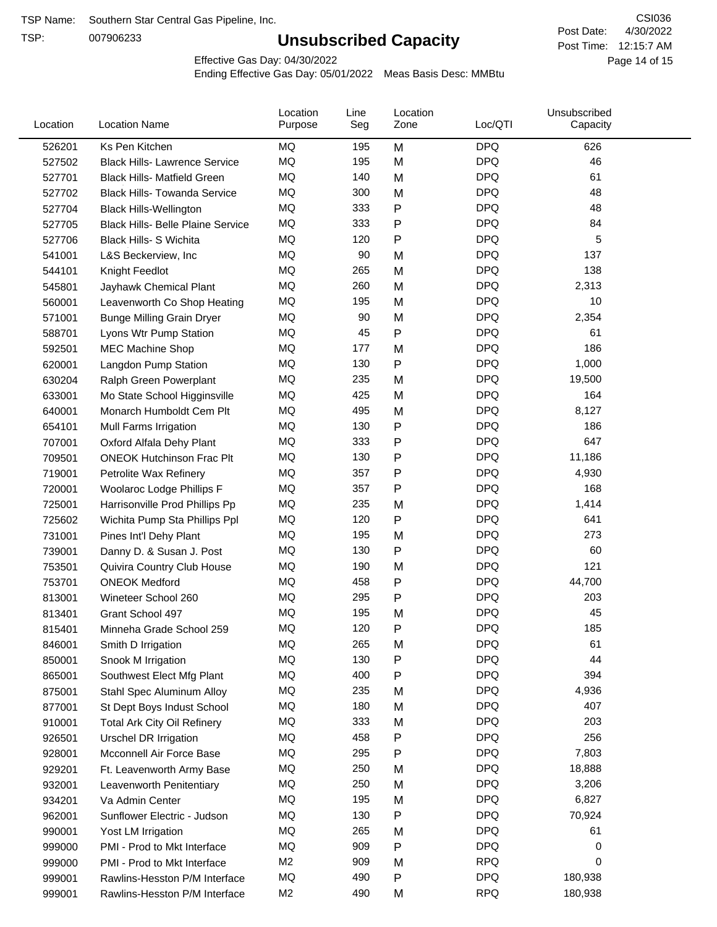TSP:

# **Unsubscribed Capacity**

4/30/2022 Page 14 of 15 Post Time: 12:15:7 AM CSI036 Post Date:

Effective Gas Day: 04/30/2022

| Location | <b>Location Name</b>                     | Location<br>Purpose | Line<br>Seg | Location<br>Zone | Loc/QTI    | Unsubscribed<br>Capacity |  |
|----------|------------------------------------------|---------------------|-------------|------------------|------------|--------------------------|--|
| 526201   | Ks Pen Kitchen                           | MQ                  | 195         | M                | <b>DPQ</b> | 626                      |  |
| 527502   | <b>Black Hills- Lawrence Service</b>     | MQ                  | 195         | M                | <b>DPQ</b> | 46                       |  |
| 527701   | <b>Black Hills- Matfield Green</b>       | MQ                  | 140         | M                | <b>DPQ</b> | 61                       |  |
| 527702   | <b>Black Hills- Towanda Service</b>      | MQ                  | 300         | M                | <b>DPQ</b> | 48                       |  |
| 527704   | <b>Black Hills-Wellington</b>            | <b>MQ</b>           | 333         | P                | <b>DPQ</b> | 48                       |  |
| 527705   | <b>Black Hills- Belle Plaine Service</b> | MQ                  | 333         | P                | <b>DPQ</b> | 84                       |  |
| 527706   | Black Hills- S Wichita                   | MQ                  | 120         | Ρ                | <b>DPQ</b> | 5                        |  |
| 541001   | L&S Beckerview, Inc.                     | MQ                  | 90          | M                | <b>DPQ</b> | 137                      |  |
| 544101   | Knight Feedlot                           | MQ                  | 265         | M                | <b>DPQ</b> | 138                      |  |
| 545801   | Jayhawk Chemical Plant                   | <b>MQ</b>           | 260         | M                | <b>DPQ</b> | 2,313                    |  |
| 560001   | Leavenworth Co Shop Heating              | MQ                  | 195         | M                | <b>DPQ</b> | 10                       |  |
| 571001   | <b>Bunge Milling Grain Dryer</b>         | <b>MQ</b>           | 90          | M                | <b>DPQ</b> | 2,354                    |  |
| 588701   | Lyons Wtr Pump Station                   | MQ                  | 45          | P                | <b>DPQ</b> | 61                       |  |
| 592501   | <b>MEC Machine Shop</b>                  | <b>MQ</b>           | 177         | M                | <b>DPQ</b> | 186                      |  |
| 620001   | <b>Langdon Pump Station</b>              | MQ                  | 130         | P                | <b>DPQ</b> | 1,000                    |  |
| 630204   | Ralph Green Powerplant                   | MQ                  | 235         | M                | <b>DPQ</b> | 19,500                   |  |
| 633001   | Mo State School Higginsville             | MQ                  | 425         | M                | <b>DPQ</b> | 164                      |  |
| 640001   | Monarch Humboldt Cem Plt                 | MQ                  | 495         | M                | <b>DPQ</b> | 8,127                    |  |
| 654101   | Mull Farms Irrigation                    | <b>MQ</b>           | 130         | P                | <b>DPQ</b> | 186                      |  |
| 707001   | Oxford Alfala Dehy Plant                 | MQ                  | 333         | Ρ                | <b>DPQ</b> | 647                      |  |
| 709501   | <b>ONEOK Hutchinson Frac Plt</b>         | MQ                  | 130         | P                | <b>DPQ</b> | 11,186                   |  |
| 719001   | Petrolite Wax Refinery                   | MQ                  | 357         | Ρ                | <b>DPQ</b> | 4,930                    |  |
| 720001   | Woolaroc Lodge Phillips F                | MQ                  | 357         | Ρ                | <b>DPQ</b> | 168                      |  |
| 725001   | Harrisonville Prod Phillips Pp           | <b>MQ</b>           | 235         | M                | <b>DPQ</b> | 1,414                    |  |
| 725602   | Wichita Pump Sta Phillips Ppl            | <b>MQ</b>           | 120         | Ρ                | <b>DPQ</b> | 641                      |  |
| 731001   | Pines Int'l Dehy Plant                   | MQ                  | 195         | M                | <b>DPQ</b> | 273                      |  |
| 739001   | Danny D. & Susan J. Post                 | MQ                  | 130         | P                | <b>DPQ</b> | 60                       |  |
| 753501   | Quivira Country Club House               | MQ                  | 190         | M                | <b>DPQ</b> | 121                      |  |
| 753701   | <b>ONEOK Medford</b>                     | MQ                  | 458         | Ρ                | <b>DPQ</b> | 44,700                   |  |
| 813001   | Wineteer School 260                      | MQ                  | 295         | P                | <b>DPQ</b> | 203                      |  |
| 813401   | Grant School 497                         | MQ                  | 195         | M                | <b>DPQ</b> | 45                       |  |
| 815401   | Minneha Grade School 259                 | <b>MQ</b>           | 120         | P                | <b>DPQ</b> | 185                      |  |
| 846001   | Smith D Irrigation                       | MQ                  | 265         | M                | <b>DPQ</b> | 61                       |  |
| 850001   | Snook M Irrigation                       | MQ                  | 130         | Ρ                | <b>DPQ</b> | 44                       |  |
| 865001   | Southwest Elect Mfg Plant                | MQ                  | 400         | P                | <b>DPQ</b> | 394                      |  |
| 875001   | Stahl Spec Aluminum Alloy                | MQ                  | 235         | M                | <b>DPQ</b> | 4,936                    |  |
| 877001   | St Dept Boys Indust School               | MQ                  | 180         | M                | <b>DPQ</b> | 407                      |  |
| 910001   | <b>Total Ark City Oil Refinery</b>       | MQ                  | 333         | M                | <b>DPQ</b> | 203                      |  |
| 926501   | Urschel DR Irrigation                    | MQ                  | 458         | Ρ                | <b>DPQ</b> | 256                      |  |
| 928001   | Mcconnell Air Force Base                 | MQ                  | 295         | Ρ                | <b>DPQ</b> | 7,803                    |  |
| 929201   | Ft. Leavenworth Army Base                | MQ                  | 250         | M                | <b>DPQ</b> | 18,888                   |  |
| 932001   | Leavenworth Penitentiary                 | MQ                  | 250         | M                | <b>DPQ</b> | 3,206                    |  |
| 934201   | Va Admin Center                          | MQ                  | 195         | M                | <b>DPQ</b> | 6,827                    |  |
| 962001   | Sunflower Electric - Judson              | MQ                  | 130         | Ρ                | <b>DPQ</b> | 70,924                   |  |
| 990001   | Yost LM Irrigation                       | MQ                  | 265         | M                | <b>DPQ</b> | 61                       |  |
| 999000   | PMI - Prod to Mkt Interface              | MQ                  | 909         | Ρ                | <b>DPQ</b> | 0                        |  |
| 999000   | PMI - Prod to Mkt Interface              | M2                  | 909         | M                | <b>RPQ</b> | 0                        |  |
| 999001   | Rawlins-Hesston P/M Interface            | MQ                  | 490         | Ρ                | <b>DPQ</b> | 180,938                  |  |
| 999001   | Rawlins-Hesston P/M Interface            | M <sub>2</sub>      | 490         | M                | <b>RPQ</b> | 180,938                  |  |